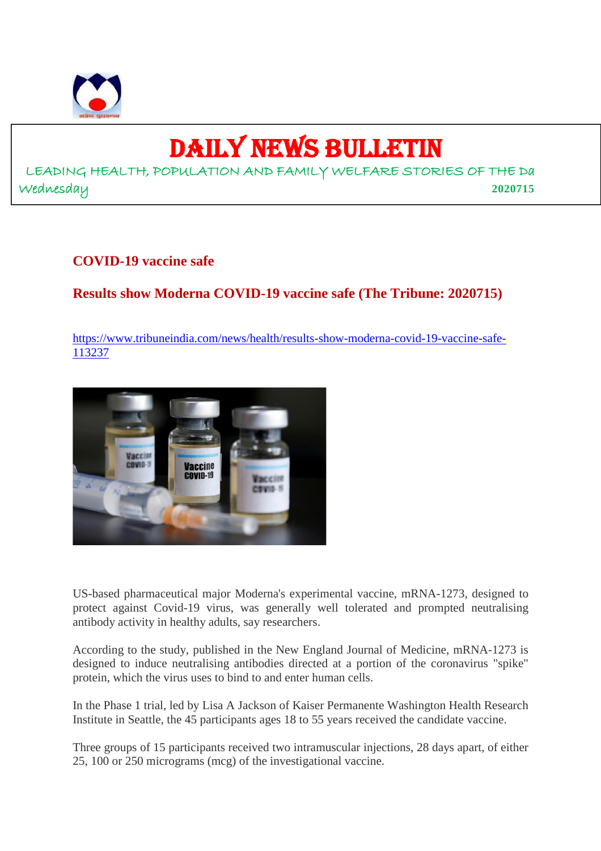

## DAILY NEWS BULLETIN

LEADING HEALTH, POPULATION AND FAMILY WELFARE STORIES OF THE Da Wednesday **2020715**

#### **COVID-19 vaccine safe**

#### **Results show Moderna COVID-19 vaccine safe (The Tribune: 2020715)**

https://www.tribuneindia.com/news/health/results-show-moderna-covid-19-vaccine-safe-113237



US-based pharmaceutical major Moderna's experimental vaccine, mRNA-1273, designed to protect against Covid-19 virus, was generally well tolerated and prompted neutralising antibody activity in healthy adults, say researchers.

According to the study, published in the New England Journal of Medicine, mRNA-1273 is designed to induce neutralising antibodies directed at a portion of the coronavirus "spike" protein, which the virus uses to bind to and enter human cells.

In the Phase 1 trial, led by Lisa A Jackson of Kaiser Permanente Washington Health Research Institute in Seattle, the 45 participants ages 18 to 55 years received the candidate vaccine.

Three groups of 15 participants received two intramuscular injections, 28 days apart, of either 25, 100 or 250 micrograms (mcg) of the investigational vaccine.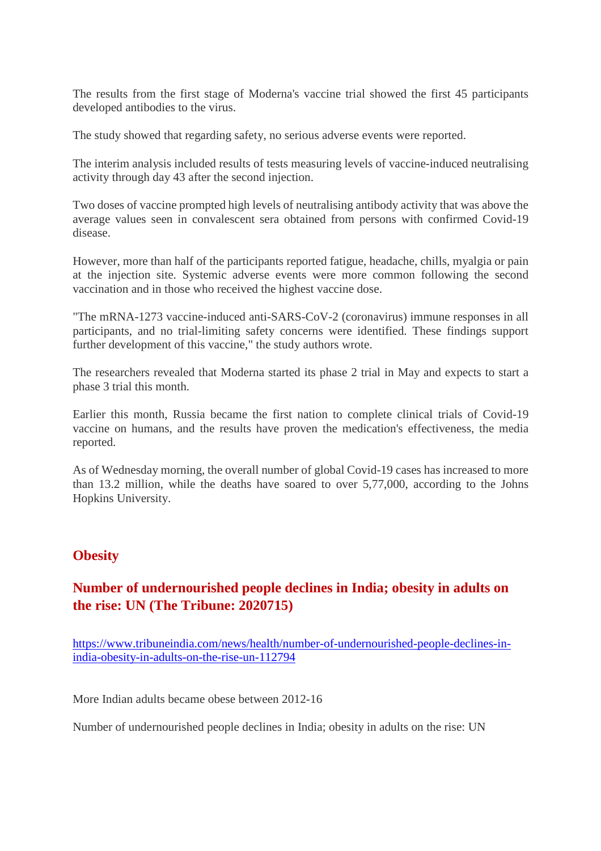The results from the first stage of Moderna's vaccine trial showed the first 45 participants developed antibodies to the virus.

The study showed that regarding safety, no serious adverse events were reported.

The interim analysis included results of tests measuring levels of vaccine-induced neutralising activity through day 43 after the second injection.

Two doses of vaccine prompted high levels of neutralising antibody activity that was above the average values seen in convalescent sera obtained from persons with confirmed Covid-19 disease.

However, more than half of the participants reported fatigue, headache, chills, myalgia or pain at the injection site. Systemic adverse events were more common following the second vaccination and in those who received the highest vaccine dose.

"The mRNA-1273 vaccine-induced anti-SARS-CoV-2 (coronavirus) immune responses in all participants, and no trial-limiting safety concerns were identified. These findings support further development of this vaccine," the study authors wrote.

The researchers revealed that Moderna started its phase 2 trial in May and expects to start a phase 3 trial this month.

Earlier this month, Russia became the first nation to complete clinical trials of Covid-19 vaccine on humans, and the results have proven the medication's effectiveness, the media reported.

As of Wednesday morning, the overall number of global Covid-19 cases has increased to more than 13.2 million, while the deaths have soared to over 5,77,000, according to the Johns Hopkins University.

#### **Obesity**

#### **Number of undernourished people declines in India; obesity in adults on the rise: UN (The Tribune: 2020715)**

https://www.tribuneindia.com/news/health/number-of-undernourished-people-declines-inindia-obesity-in-adults-on-the-rise-un-112794

More Indian adults became obese between 2012-16

Number of undernourished people declines in India; obesity in adults on the rise: UN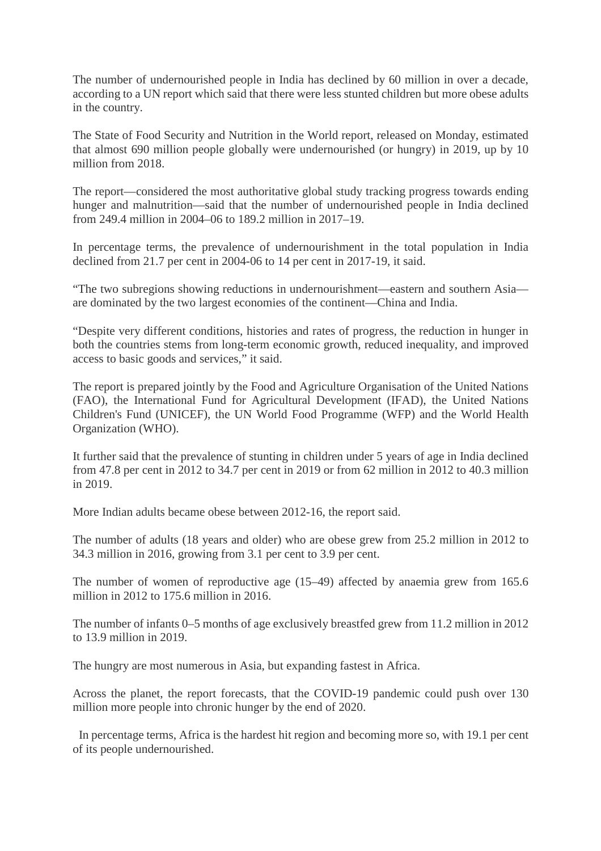The number of undernourished people in India has declined by 60 million in over a decade, according to a UN report which said that there were less stunted children but more obese adults in the country.

The State of Food Security and Nutrition in the World report, released on Monday, estimated that almost 690 million people globally were undernourished (or hungry) in 2019, up by 10 million from 2018.

The report—considered the most authoritative global study tracking progress towards ending hunger and malnutrition—said that the number of undernourished people in India declined from 249.4 million in 2004–06 to 189.2 million in 2017–19.

In percentage terms, the prevalence of undernourishment in the total population in India declined from 21.7 per cent in 2004-06 to 14 per cent in 2017-19, it said.

"The two subregions showing reductions in undernourishment—eastern and southern Asia are dominated by the two largest economies of the continent—China and India.

"Despite very different conditions, histories and rates of progress, the reduction in hunger in both the countries stems from long-term economic growth, reduced inequality, and improved access to basic goods and services," it said.

The report is prepared jointly by the Food and Agriculture Organisation of the United Nations (FAO), the International Fund for Agricultural Development (IFAD), the United Nations Children's Fund (UNICEF), the UN World Food Programme (WFP) and the World Health Organization (WHO).

It further said that the prevalence of stunting in children under 5 years of age in India declined from 47.8 per cent in 2012 to 34.7 per cent in 2019 or from 62 million in 2012 to 40.3 million in 2019.

More Indian adults became obese between 2012-16, the report said.

The number of adults (18 years and older) who are obese grew from 25.2 million in 2012 to 34.3 million in 2016, growing from 3.1 per cent to 3.9 per cent.

The number of women of reproductive age (15–49) affected by anaemia grew from 165.6 million in 2012 to 175.6 million in 2016.

The number of infants 0–5 months of age exclusively breastfed grew from 11.2 million in 2012 to 13.9 million in 2019.

The hungry are most numerous in Asia, but expanding fastest in Africa.

Across the planet, the report forecasts, that the COVID-19 pandemic could push over 130 million more people into chronic hunger by the end of 2020.

In percentage terms, Africa is the hardest hit region and becoming more so, with 19.1 per cent of its people undernourished.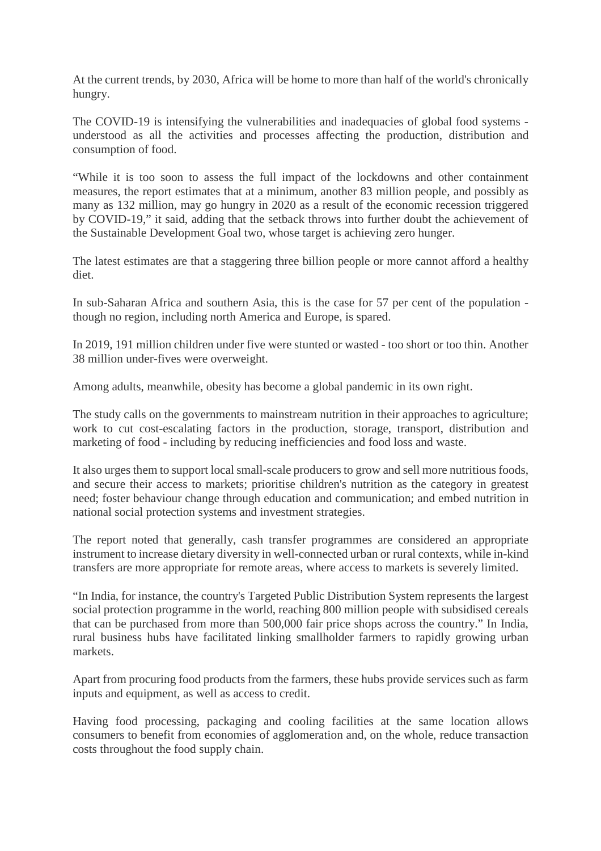At the current trends, by 2030, Africa will be home to more than half of the world's chronically hungry.

The COVID-19 is intensifying the vulnerabilities and inadequacies of global food systems understood as all the activities and processes affecting the production, distribution and consumption of food.

"While it is too soon to assess the full impact of the lockdowns and other containment measures, the report estimates that at a minimum, another 83 million people, and possibly as many as 132 million, may go hungry in 2020 as a result of the economic recession triggered by COVID-19," it said, adding that the setback throws into further doubt the achievement of the Sustainable Development Goal two, whose target is achieving zero hunger.

The latest estimates are that a staggering three billion people or more cannot afford a healthy diet.

In sub-Saharan Africa and southern Asia, this is the case for 57 per cent of the population though no region, including north America and Europe, is spared.

In 2019, 191 million children under five were stunted or wasted - too short or too thin. Another 38 million under-fives were overweight.

Among adults, meanwhile, obesity has become a global pandemic in its own right.

The study calls on the governments to mainstream nutrition in their approaches to agriculture; work to cut cost-escalating factors in the production, storage, transport, distribution and marketing of food - including by reducing inefficiencies and food loss and waste.

It also urges them to support local small-scale producers to grow and sell more nutritious foods, and secure their access to markets; prioritise children's nutrition as the category in greatest need; foster behaviour change through education and communication; and embed nutrition in national social protection systems and investment strategies.

The report noted that generally, cash transfer programmes are considered an appropriate instrument to increase dietary diversity in well-connected urban or rural contexts, while in-kind transfers are more appropriate for remote areas, where access to markets is severely limited.

"In India, for instance, the country's Targeted Public Distribution System represents the largest social protection programme in the world, reaching 800 million people with subsidised cereals that can be purchased from more than 500,000 fair price shops across the country." In India, rural business hubs have facilitated linking smallholder farmers to rapidly growing urban markets.

Apart from procuring food products from the farmers, these hubs provide services such as farm inputs and equipment, as well as access to credit.

Having food processing, packaging and cooling facilities at the same location allows consumers to benefit from economies of agglomeration and, on the whole, reduce transaction costs throughout the food supply chain.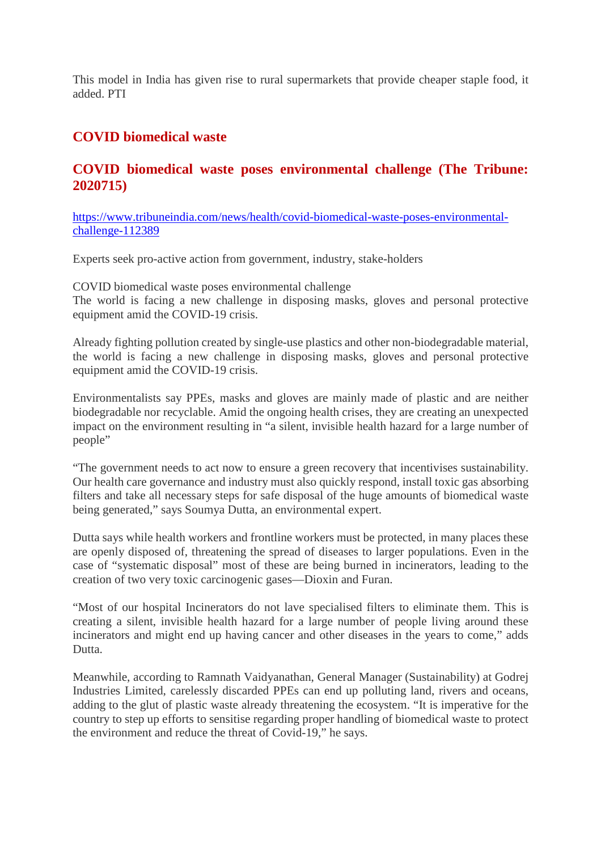This model in India has given rise to rural supermarkets that provide cheaper staple food, it added. PTI

#### **COVID biomedical waste**

#### **COVID biomedical waste poses environmental challenge (The Tribune: 2020715)**

https://www.tribuneindia.com/news/health/covid-biomedical-waste-poses-environmentalchallenge-112389

Experts seek pro-active action from government, industry, stake-holders

COVID biomedical waste poses environmental challenge The world is facing a new challenge in disposing masks, gloves and personal protective equipment amid the COVID-19 crisis.

Already fighting pollution created by single-use plastics and other non-biodegradable material, the world is facing a new challenge in disposing masks, gloves and personal protective equipment amid the COVID-19 crisis.

Environmentalists say PPEs, masks and gloves are mainly made of plastic and are neither biodegradable nor recyclable. Amid the ongoing health crises, they are creating an unexpected impact on the environment resulting in "a silent, invisible health hazard for a large number of people"

"The government needs to act now to ensure a green recovery that incentivises sustainability. Our health care governance and industry must also quickly respond, install toxic gas absorbing filters and take all necessary steps for safe disposal of the huge amounts of biomedical waste being generated," says Soumya Dutta, an environmental expert.

Dutta says while health workers and frontline workers must be protected, in many places these are openly disposed of, threatening the spread of diseases to larger populations. Even in the case of "systematic disposal" most of these are being burned in incinerators, leading to the creation of two very toxic carcinogenic gases—Dioxin and Furan.

"Most of our hospital Incinerators do not lave specialised filters to eliminate them. This is creating a silent, invisible health hazard for a large number of people living around these incinerators and might end up having cancer and other diseases in the years to come," adds Dutta.

Meanwhile, according to Ramnath Vaidyanathan, General Manager (Sustainability) at Godrej Industries Limited, carelessly discarded PPEs can end up polluting land, rivers and oceans, adding to the glut of plastic waste already threatening the ecosystem. "It is imperative for the country to step up efforts to sensitise regarding proper handling of biomedical waste to protect the environment and reduce the threat of Covid-19," he says.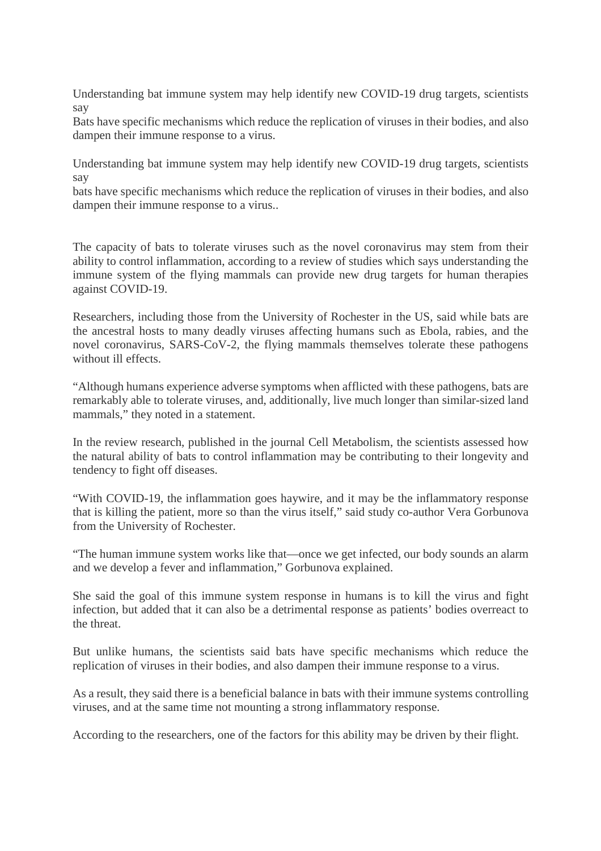Understanding bat immune system may help identify new COVID-19 drug targets, scientists say

Bats have specific mechanisms which reduce the replication of viruses in their bodies, and also dampen their immune response to a virus.

Understanding bat immune system may help identify new COVID-19 drug targets, scientists say

bats have specific mechanisms which reduce the replication of viruses in their bodies, and also dampen their immune response to a virus..

The capacity of bats to tolerate viruses such as the novel coronavirus may stem from their ability to control inflammation, according to a review of studies which says understanding the immune system of the flying mammals can provide new drug targets for human therapies against COVID-19.

Researchers, including those from the University of Rochester in the US, said while bats are the ancestral hosts to many deadly viruses affecting humans such as Ebola, rabies, and the novel coronavirus, SARS-CoV-2, the flying mammals themselves tolerate these pathogens without ill effects.

"Although humans experience adverse symptoms when afflicted with these pathogens, bats are remarkably able to tolerate viruses, and, additionally, live much longer than similar-sized land mammals," they noted in a statement.

In the review research, published in the journal Cell Metabolism, the scientists assessed how the natural ability of bats to control inflammation may be contributing to their longevity and tendency to fight off diseases.

"With COVID-19, the inflammation goes haywire, and it may be the inflammatory response that is killing the patient, more so than the virus itself," said study co-author Vera Gorbunova from the University of Rochester.

"The human immune system works like that—once we get infected, our body sounds an alarm and we develop a fever and inflammation," Gorbunova explained.

She said the goal of this immune system response in humans is to kill the virus and fight infection, but added that it can also be a detrimental response as patients' bodies overreact to the threat.

But unlike humans, the scientists said bats have specific mechanisms which reduce the replication of viruses in their bodies, and also dampen their immune response to a virus.

As a result, they said there is a beneficial balance in bats with their immune systems controlling viruses, and at the same time not mounting a strong inflammatory response.

According to the researchers, one of the factors for this ability may be driven by their flight.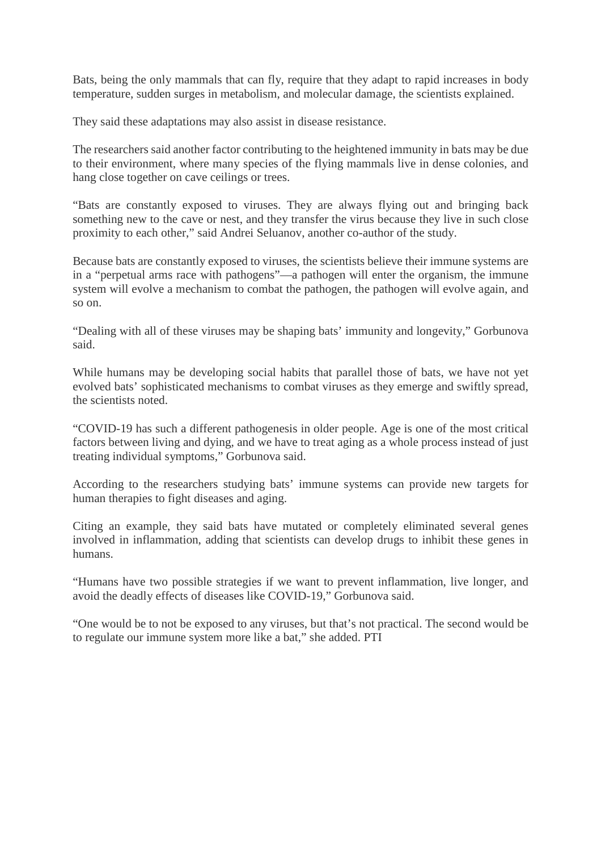Bats, being the only mammals that can fly, require that they adapt to rapid increases in body temperature, sudden surges in metabolism, and molecular damage, the scientists explained.

They said these adaptations may also assist in disease resistance.

The researchers said another factor contributing to the heightened immunity in bats may be due to their environment, where many species of the flying mammals live in dense colonies, and hang close together on cave ceilings or trees.

"Bats are constantly exposed to viruses. They are always flying out and bringing back something new to the cave or nest, and they transfer the virus because they live in such close proximity to each other," said Andrei Seluanov, another co-author of the study.

Because bats are constantly exposed to viruses, the scientists believe their immune systems are in a "perpetual arms race with pathogens"—a pathogen will enter the organism, the immune system will evolve a mechanism to combat the pathogen, the pathogen will evolve again, and so on.

"Dealing with all of these viruses may be shaping bats' immunity and longevity," Gorbunova said.

While humans may be developing social habits that parallel those of bats, we have not yet evolved bats' sophisticated mechanisms to combat viruses as they emerge and swiftly spread, the scientists noted.

"COVID-19 has such a different pathogenesis in older people. Age is one of the most critical factors between living and dying, and we have to treat aging as a whole process instead of just treating individual symptoms," Gorbunova said.

According to the researchers studying bats' immune systems can provide new targets for human therapies to fight diseases and aging.

Citing an example, they said bats have mutated or completely eliminated several genes involved in inflammation, adding that scientists can develop drugs to inhibit these genes in humans.

"Humans have two possible strategies if we want to prevent inflammation, live longer, and avoid the deadly effects of diseases like COVID-19," Gorbunova said.

"One would be to not be exposed to any viruses, but that's not practical. The second would be to regulate our immune system more like a bat," she added. PTI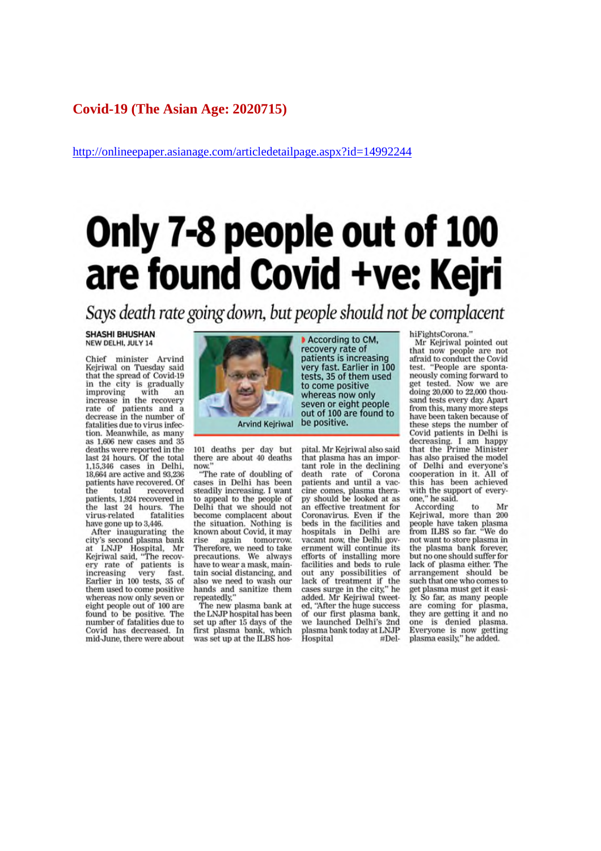#### **Covid-19 (The Asian Age: 2020715)**

http://onlineepaper.asianage.com/articledetailpage.aspx?id=14992244

# Only 7-8 people out of 100<br>are found Covid +ve: Kejri

Says death rate going down, but people should not be complacent

#### **SHASHI BHUSHAN** NEW DELHI, JULY 14

Chief minister Arvind Kejriwal on Tuesday said that the spread of Covid-19 in the city is gradually<br>improving with an improving with an increase in the recovery<br>rate of patients and a decrease in the number of fatalities due to virus infection. Meanwhile, as many as 1,606 new cases and 35 deaths were reported in the<br>last 24 hours. Of the total 1,15,346 cases in Delhi,<br>18,664 are active and 93,236 patients have recovered. Of the total recovered patients, 1,924 recovered in<br>the last 24 hours. The fatalities virus-related have gone up to 3,446.

After inaugurating the eity's second plasma bank<br>at LNJP Hospital, Mr<br>Rejriwal said, "The recovery rate of patients is increasing very fast.<br>Earlier in 100 tests, 35 of them used to come positive whereas now only seven or<br>eight people out of 100 are found to be positive. The<br>number of fatalities due to Covid has decreased. In mid-June, there were about



 $101$  deaths per day but there are about  $40$  deaths now.

"The rate of doubling of cases in Delhi has been<br>steadily increasing. I want to appeal to the people of Delhi that we should not become complacent about the situation. Nothing is known about Covid, it may rise again tomorrow Therefore, we need to take precautions. We always<br>have to wear a mask, maintain social distancing, and also we need to wash our hands and sanitize them repeatedly,"

The new plasma bank at<br>the LNJP hospital has been<br>set up after 15 days of the first plasma bank, which was set up at the ILBS hos-

According to CM, recovery rate of<br>patients is increasing<br>very fast. Earlier in 100 tests, 35 of them used to come positive whereas now only seven or eight people out of 100 are found to be positive.

pital. Mr Kejriwal also said that plasma has an important role in the declining death rate of Corona patients and until a vaccine comes, plasma therapy should be looked at as an effective treatment for Coronavirus. Even if the beds in the facilities and<br>hospitals in Delhi are vacant now, the Delhi government will continue its efforts of installing more facilities and beds to rule out any possibilities of<br>lack of treatment if the<br>cases surge in the city," he added. Mr Kejriwal tweeted. "After the huge success of our first plasma bank,<br>we launched Delhi's 2nd we Taunched Delhi's 2nd<br>plasma bank today at LNJP<br>Hospital #DelhiFightsCorona."

Mr Kejriwal pointed out that now people are not afraid to conduct the Covid<br>test. "People are spontaneously coming forward to get tested. Now we are doing 20,000 to 22,000 thousand tests every day. Apart from this, many more steps have been taken because of these steps the number of Covid patients in Delhi is decreasing. I am happy<br>that the Prime Minister<br>has also praised the model of Delhi and everyone's cooperation in it. All of this has been achieved with the support of every-<br>one," he said.

According  $t_0$ Mr Kejriwal, more than 200 people have taken plasma<br>from ILBS so far. "We do not want to store plasma in<br>the plasma bank forever. but no one should suffer for lack of plasma either. The arrangement should be such that one who comes to get plasma must get it easiget passina must get teasi-<br>ly. So far, as many people<br>are coming for plasma,<br>they are getting it and no<br>one is denied plasma.<br>Everyone is now getting<br>plasma easily," he added.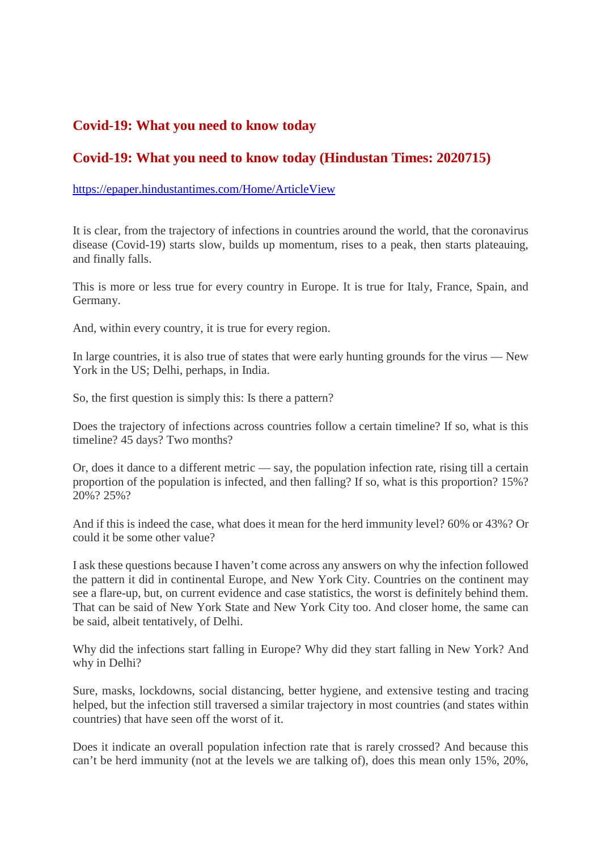#### **Covid-19: What you need to know today**

#### **Covid-19: What you need to know today (Hindustan Times: 2020715)**

#### https://epaper.hindustantimes.com/Home/ArticleView

It is clear, from the trajectory of infections in countries around the world, that the coronavirus disease (Covid-19) starts slow, builds up momentum, rises to a peak, then starts plateauing, and finally falls.

This is more or less true for every country in Europe. It is true for Italy, France, Spain, and Germany.

And, within every country, it is true for every region.

In large countries, it is also true of states that were early hunting grounds for the virus — New York in the US; Delhi, perhaps, in India.

So, the first question is simply this: Is there a pattern?

Does the trajectory of infections across countries follow a certain timeline? If so, what is this timeline? 45 days? Two months?

Or, does it dance to a different metric — say, the population infection rate, rising till a certain proportion of the population is infected, and then falling? If so, what is this proportion? 15%? 20%? 25%?

And if this is indeed the case, what does it mean for the herd immunity level? 60% or 43%? Or could it be some other value?

I ask these questions because I haven't come across any answers on why the infection followed the pattern it did in continental Europe, and New York City. Countries on the continent may see a flare-up, but, on current evidence and case statistics, the worst is definitely behind them. That can be said of New York State and New York City too. And closer home, the same can be said, albeit tentatively, of Delhi.

Why did the infections start falling in Europe? Why did they start falling in New York? And why in Delhi?

Sure, masks, lockdowns, social distancing, better hygiene, and extensive testing and tracing helped, but the infection still traversed a similar trajectory in most countries (and states within countries) that have seen off the worst of it.

Does it indicate an overall population infection rate that is rarely crossed? And because this can't be herd immunity (not at the levels we are talking of), does this mean only 15%, 20%,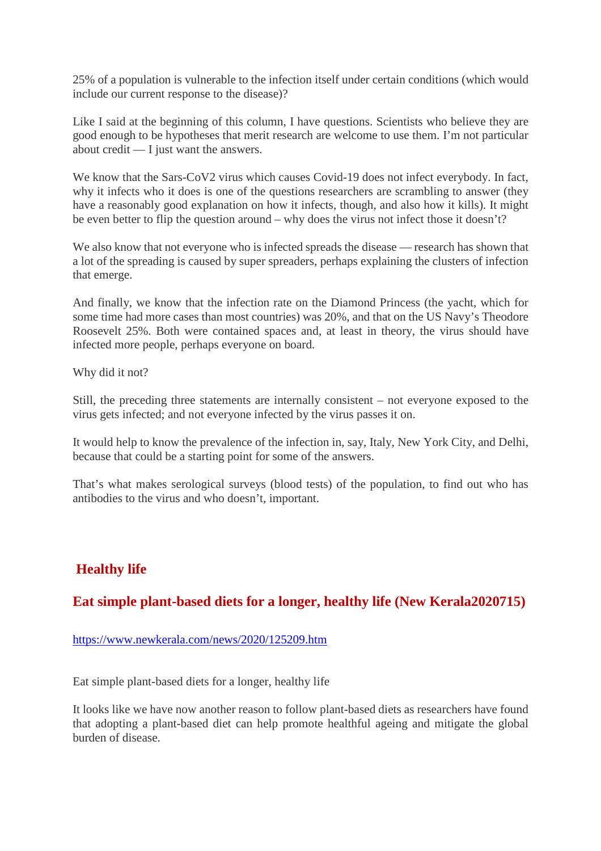25% of a population is vulnerable to the infection itself under certain conditions (which would include our current response to the disease)?

Like I said at the beginning of this column, I have questions. Scientists who believe they are good enough to be hypotheses that merit research are welcome to use them. I'm not particular about credit — I just want the answers.

We know that the Sars-CoV2 virus which causes Covid-19 does not infect everybody. In fact, why it infects who it does is one of the questions researchers are scrambling to answer (they have a reasonably good explanation on how it infects, though, and also how it kills). It might be even better to flip the question around – why does the virus not infect those it doesn't?

We also know that not everyone who is infected spreads the disease — research has shown that a lot of the spreading is caused by super spreaders, perhaps explaining the clusters of infection that emerge.

And finally, we know that the infection rate on the Diamond Princess (the yacht, which for some time had more cases than most countries) was 20%, and that on the US Navy's Theodore Roosevelt 25%. Both were contained spaces and, at least in theory, the virus should have infected more people, perhaps everyone on board.

Why did it not?

Still, the preceding three statements are internally consistent – not everyone exposed to the virus gets infected; and not everyone infected by the virus passes it on.

It would help to know the prevalence of the infection in, say, Italy, New York City, and Delhi, because that could be a starting point for some of the answers.

That's what makes serological surveys (blood tests) of the population, to find out who has antibodies to the virus and who doesn't, important.

#### **Healthy life**

#### **Eat simple plant-based diets for a longer, healthy life (New Kerala2020715)**

https://www.newkerala.com/news/2020/125209.htm

Eat simple plant-based diets for a longer, healthy life

It looks like we have now another reason to follow plant-based diets as researchers have found that adopting a plant-based diet can help promote healthful ageing and mitigate the global burden of disease.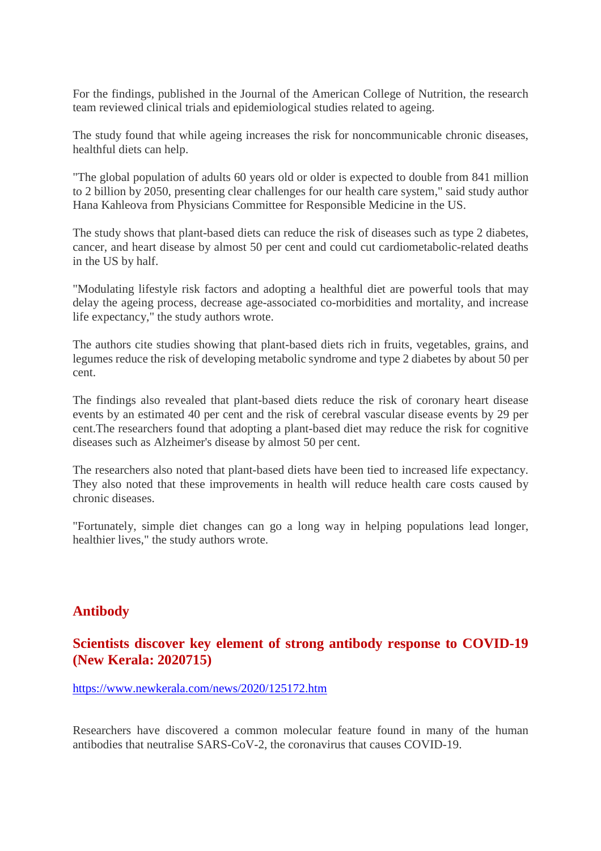For the findings, published in the Journal of the American College of Nutrition, the research team reviewed clinical trials and epidemiological studies related to ageing.

The study found that while ageing increases the risk for noncommunicable chronic diseases, healthful diets can help.

"The global population of adults 60 years old or older is expected to double from 841 million to 2 billion by 2050, presenting clear challenges for our health care system," said study author Hana Kahleova from Physicians Committee for Responsible Medicine in the US.

The study shows that plant-based diets can reduce the risk of diseases such as type 2 diabetes, cancer, and heart disease by almost 50 per cent and could cut cardiometabolic-related deaths in the US by half.

"Modulating lifestyle risk factors and adopting a healthful diet are powerful tools that may delay the ageing process, decrease age-associated co-morbidities and mortality, and increase life expectancy," the study authors wrote.

The authors cite studies showing that plant-based diets rich in fruits, vegetables, grains, and legumes reduce the risk of developing metabolic syndrome and type 2 diabetes by about 50 per cent.

The findings also revealed that plant-based diets reduce the risk of coronary heart disease events by an estimated 40 per cent and the risk of cerebral vascular disease events by 29 per cent.The researchers found that adopting a plant-based diet may reduce the risk for cognitive diseases such as Alzheimer's disease by almost 50 per cent.

The researchers also noted that plant-based diets have been tied to increased life expectancy. They also noted that these improvements in health will reduce health care costs caused by chronic diseases.

"Fortunately, simple diet changes can go a long way in helping populations lead longer, healthier lives," the study authors wrote.

#### **Antibody**

#### **Scientists discover key element of strong antibody response to COVID-19 (New Kerala: 2020715)**

https://www.newkerala.com/news/2020/125172.htm

Researchers have discovered a common molecular feature found in many of the human antibodies that neutralise SARS-CoV-2, the coronavirus that causes COVID-19.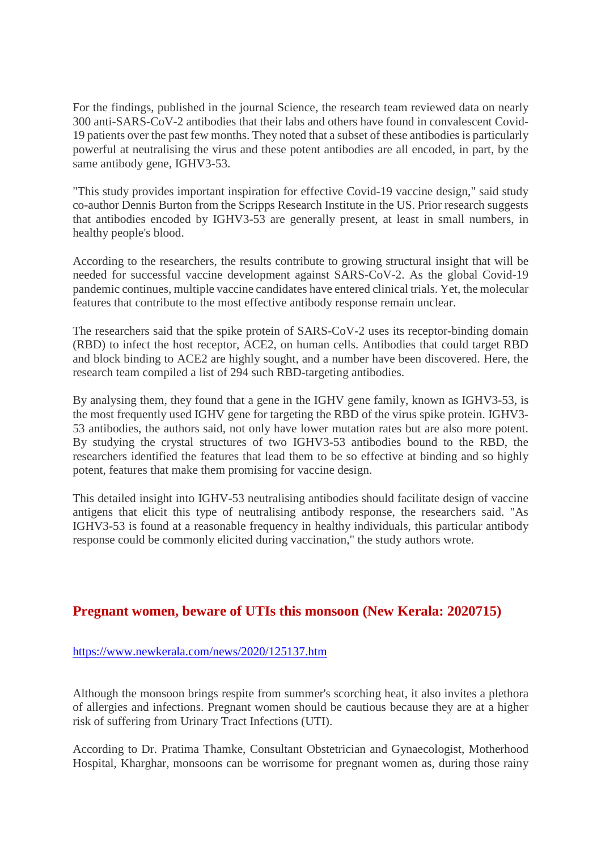For the findings, published in the journal Science, the research team reviewed data on nearly 300 anti-SARS-CoV-2 antibodies that their labs and others have found in convalescent Covid-19 patients over the past few months. They noted that a subset of these antibodies is particularly powerful at neutralising the virus and these potent antibodies are all encoded, in part, by the same antibody gene, IGHV3-53.

"This study provides important inspiration for effective Covid-19 vaccine design," said study co-author Dennis Burton from the Scripps Research Institute in the US. Prior research suggests that antibodies encoded by IGHV3-53 are generally present, at least in small numbers, in healthy people's blood.

According to the researchers, the results contribute to growing structural insight that will be needed for successful vaccine development against SARS-CoV-2. As the global Covid-19 pandemic continues, multiple vaccine candidates have entered clinical trials. Yet, the molecular features that contribute to the most effective antibody response remain unclear.

The researchers said that the spike protein of SARS-CoV-2 uses its receptor-binding domain (RBD) to infect the host receptor, ACE2, on human cells. Antibodies that could target RBD and block binding to ACE2 are highly sought, and a number have been discovered. Here, the research team compiled a list of 294 such RBD-targeting antibodies.

By analysing them, they found that a gene in the IGHV gene family, known as IGHV3-53, is the most frequently used IGHV gene for targeting the RBD of the virus spike protein. IGHV3- 53 antibodies, the authors said, not only have lower mutation rates but are also more potent. By studying the crystal structures of two IGHV3-53 antibodies bound to the RBD, the researchers identified the features that lead them to be so effective at binding and so highly potent, features that make them promising for vaccine design.

This detailed insight into IGHV-53 neutralising antibodies should facilitate design of vaccine antigens that elicit this type of neutralising antibody response, the researchers said. "As IGHV3-53 is found at a reasonable frequency in healthy individuals, this particular antibody response could be commonly elicited during vaccination," the study authors wrote.

#### **Pregnant women, beware of UTIs this monsoon (New Kerala: 2020715)**

#### https://www.newkerala.com/news/2020/125137.htm

Although the monsoon brings respite from summer's scorching heat, it also invites a plethora of allergies and infections. Pregnant women should be cautious because they are at a higher risk of suffering from Urinary Tract Infections (UTI).

According to Dr. Pratima Thamke, Consultant Obstetrician and Gynaecologist, Motherhood Hospital, Kharghar, monsoons can be worrisome for pregnant women as, during those rainy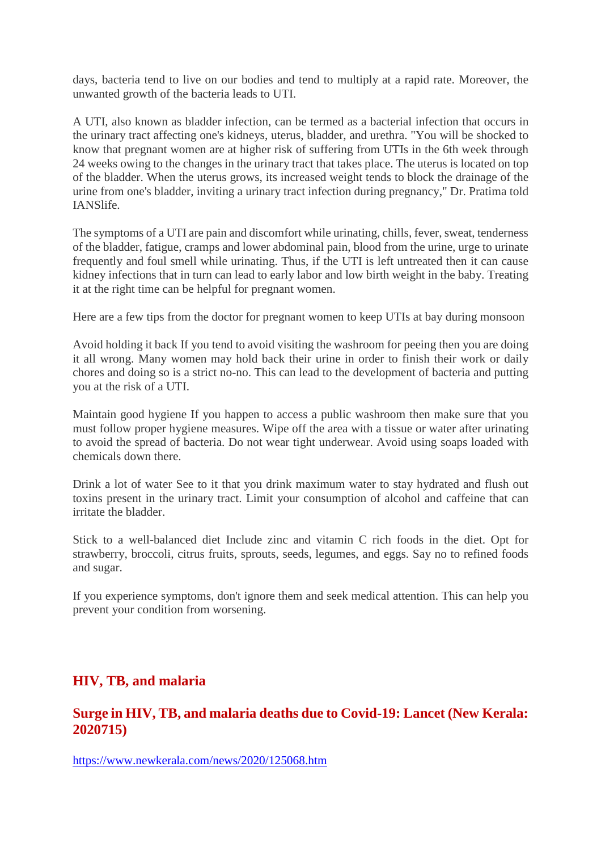days, bacteria tend to live on our bodies and tend to multiply at a rapid rate. Moreover, the unwanted growth of the bacteria leads to UTI.

A UTI, also known as bladder infection, can be termed as a bacterial infection that occurs in the urinary tract affecting one's kidneys, uterus, bladder, and urethra. "You will be shocked to know that pregnant women are at higher risk of suffering from UTIs in the 6th week through 24 weeks owing to the changes in the urinary tract that takes place. The uterus is located on top of the bladder. When the uterus grows, its increased weight tends to block the drainage of the urine from one's bladder, inviting a urinary tract infection during pregnancy," Dr. Pratima told IANSlife.

The symptoms of a UTI are pain and discomfort while urinating, chills, fever, sweat, tenderness of the bladder, fatigue, cramps and lower abdominal pain, blood from the urine, urge to urinate frequently and foul smell while urinating. Thus, if the UTI is left untreated then it can cause kidney infections that in turn can lead to early labor and low birth weight in the baby. Treating it at the right time can be helpful for pregnant women.

Here are a few tips from the doctor for pregnant women to keep UTIs at bay during monsoon

Avoid holding it back If you tend to avoid visiting the washroom for peeing then you are doing it all wrong. Many women may hold back their urine in order to finish their work or daily chores and doing so is a strict no-no. This can lead to the development of bacteria and putting you at the risk of a UTI.

Maintain good hygiene If you happen to access a public washroom then make sure that you must follow proper hygiene measures. Wipe off the area with a tissue or water after urinating to avoid the spread of bacteria. Do not wear tight underwear. Avoid using soaps loaded with chemicals down there.

Drink a lot of water See to it that you drink maximum water to stay hydrated and flush out toxins present in the urinary tract. Limit your consumption of alcohol and caffeine that can irritate the bladder.

Stick to a well-balanced diet Include zinc and vitamin C rich foods in the diet. Opt for strawberry, broccoli, citrus fruits, sprouts, seeds, legumes, and eggs. Say no to refined foods and sugar.

If you experience symptoms, don't ignore them and seek medical attention. This can help you prevent your condition from worsening.

#### **HIV, TB, and malaria**

#### **Surge in HIV, TB, and malaria deaths due to Covid-19: Lancet (New Kerala: 2020715)**

https://www.newkerala.com/news/2020/125068.htm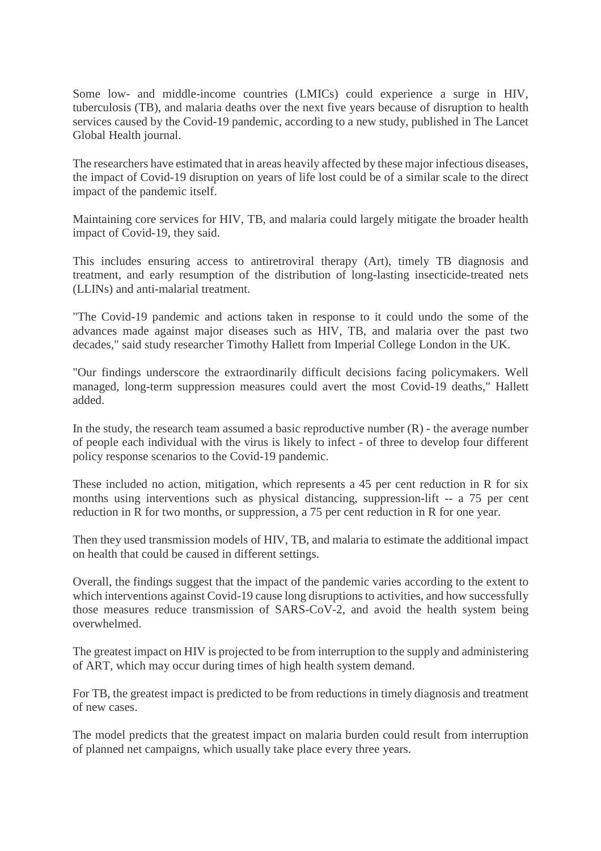Some low- and middle-income countries (LMICs) could experience a surge in HIV, tuberculosis (TB), and malaria deaths over the next five years because of disruption to health services caused by the Covid-19 pandemic, according to a new study, published in The Lancet Global Health journal.

The researchers have estimated that in areas heavily affected by these major infectious diseases, the impact of Covid-19 disruption on years of life lost could be of a similar scale to the direct impact of the pandemic itself.

Maintaining core services for HIV, TB, and malaria could largely mitigate the broader health impact of Covid-19, they said.

This includes ensuring access to antiretroviral therapy (Art), timely TB diagnosis and treatment, and early resumption of the distribution of long-lasting insecticide-treated nets (LLINs) and anti-malarial treatment.

"The Covid-19 pandemic and actions taken in response to it could undo the some of the advances made against major diseases such as HIV, TB, and malaria over the past two decades," said study researcher Timothy Hallett from Imperial College London in the UK.

"Our findings underscore the extraordinarily difficult decisions facing policymakers. Well managed, long-term suppression measures could avert the most Covid-19 deaths," Hallett added.

In the study, the research team assumed a basic reproductive number  $(R)$  - the average number of people each individual with the virus is likely to infect - of three to develop four different policy response scenarios to the Covid-19 pandemic.

These included no action, mitigation, which represents a 45 per cent reduction in R for six months using interventions such as physical distancing, suppression-lift -- a 75 per cent reduction in R for two months, or suppression, a 75 per cent reduction in R for one year.

Then they used transmission models of HIV, TB, and malaria to estimate the additional impact on health that could be caused in different settings.

Overall, the findings suggest that the impact of the pandemic varies according to the extent to which interventions against Covid-19 cause long disruptions to activities, and how successfully those measures reduce transmission of SARS-CoV-2, and avoid the health system being overwhelmed.

The greatest impact on HIV is projected to be from interruption to the supply and administering of ART, which may occur during times of high health system demand.

For TB, the greatest impact is predicted to be from reductions in timely diagnosis and treatment of new cases.

The model predicts that the greatest impact on malaria burden could result from interruption of planned net campaigns, which usually take place every three years.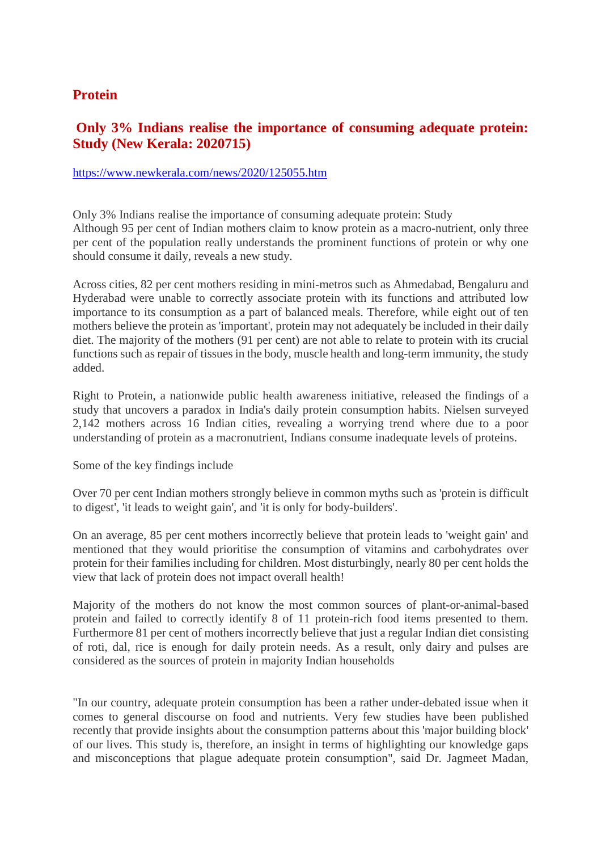#### **Protein**

#### **Only 3% Indians realise the importance of consuming adequate protein: Study (New Kerala: 2020715)**

#### https://www.newkerala.com/news/2020/125055.htm

Only 3% Indians realise the importance of consuming adequate protein: Study Although 95 per cent of Indian mothers claim to know protein as a macro-nutrient, only three per cent of the population really understands the prominent functions of protein or why one should consume it daily, reveals a new study.

Across cities, 82 per cent mothers residing in mini-metros such as Ahmedabad, Bengaluru and Hyderabad were unable to correctly associate protein with its functions and attributed low importance to its consumption as a part of balanced meals. Therefore, while eight out of ten mothers believe the protein as 'important', protein may not adequately be included in their daily diet. The majority of the mothers (91 per cent) are not able to relate to protein with its crucial functions such as repair of tissues in the body, muscle health and long-term immunity, the study added.

Right to Protein, a nationwide public health awareness initiative, released the findings of a study that uncovers a paradox in India's daily protein consumption habits. Nielsen surveyed 2,142 mothers across 16 Indian cities, revealing a worrying trend where due to a poor understanding of protein as a macronutrient, Indians consume inadequate levels of proteins.

Some of the key findings include

Over 70 per cent Indian mothers strongly believe in common myths such as 'protein is difficult to digest', 'it leads to weight gain', and 'it is only for body-builders'.

On an average, 85 per cent mothers incorrectly believe that protein leads to 'weight gain' and mentioned that they would prioritise the consumption of vitamins and carbohydrates over protein for their families including for children. Most disturbingly, nearly 80 per cent holds the view that lack of protein does not impact overall health!

Majority of the mothers do not know the most common sources of plant-or-animal-based protein and failed to correctly identify 8 of 11 protein-rich food items presented to them. Furthermore 81 per cent of mothers incorrectly believe that just a regular Indian diet consisting of roti, dal, rice is enough for daily protein needs. As a result, only dairy and pulses are considered as the sources of protein in majority Indian households

"In our country, adequate protein consumption has been a rather under-debated issue when it comes to general discourse on food and nutrients. Very few studies have been published recently that provide insights about the consumption patterns about this 'major building block' of our lives. This study is, therefore, an insight in terms of highlighting our knowledge gaps and misconceptions that plague adequate protein consumption", said Dr. Jagmeet Madan,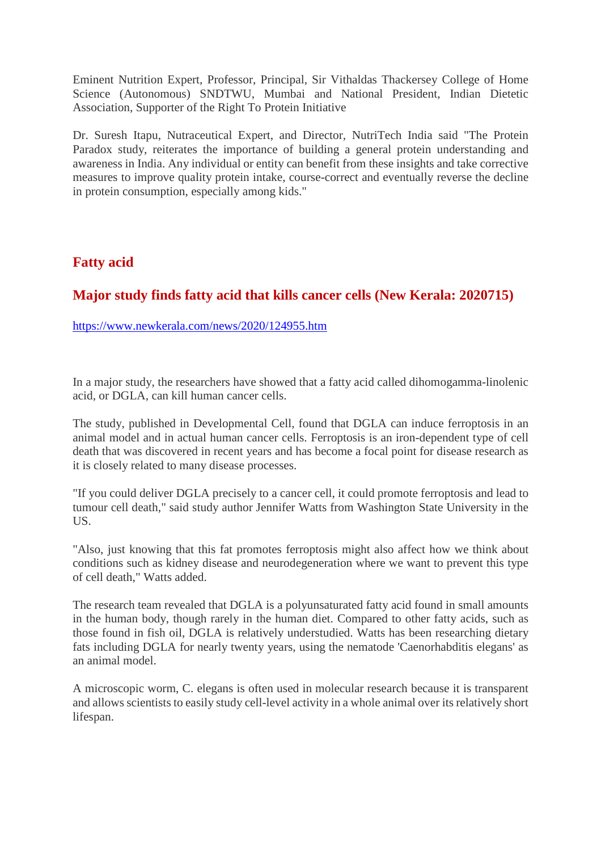Eminent Nutrition Expert, Professor, Principal, Sir Vithaldas Thackersey College of Home Science (Autonomous) SNDTWU, Mumbai and National President, Indian Dietetic Association, Supporter of the Right To Protein Initiative

Dr. Suresh Itapu, Nutraceutical Expert, and Director, NutriTech India said "The Protein Paradox study, reiterates the importance of building a general protein understanding and awareness in India. Any individual or entity can benefit from these insights and take corrective measures to improve quality protein intake, course-correct and eventually reverse the decline in protein consumption, especially among kids."

#### **Fatty acid**

#### **Major study finds fatty acid that kills cancer cells (New Kerala: 2020715)**

https://www.newkerala.com/news/2020/124955.htm

In a major study, the researchers have showed that a fatty acid called dihomogamma-linolenic acid, or DGLA, can kill human cancer cells.

The study, published in Developmental Cell, found that DGLA can induce ferroptosis in an animal model and in actual human cancer cells. Ferroptosis is an iron-dependent type of cell death that was discovered in recent years and has become a focal point for disease research as it is closely related to many disease processes.

"If you could deliver DGLA precisely to a cancer cell, it could promote ferroptosis and lead to tumour cell death," said study author Jennifer Watts from Washington State University in the US.

"Also, just knowing that this fat promotes ferroptosis might also affect how we think about conditions such as kidney disease and neurodegeneration where we want to prevent this type of cell death," Watts added.

The research team revealed that DGLA is a polyunsaturated fatty acid found in small amounts in the human body, though rarely in the human diet. Compared to other fatty acids, such as those found in fish oil, DGLA is relatively understudied. Watts has been researching dietary fats including DGLA for nearly twenty years, using the nematode 'Caenorhabditis elegans' as an animal model.

A microscopic worm, C. elegans is often used in molecular research because it is transparent and allows scientists to easily study cell-level activity in a whole animal over its relatively short lifespan.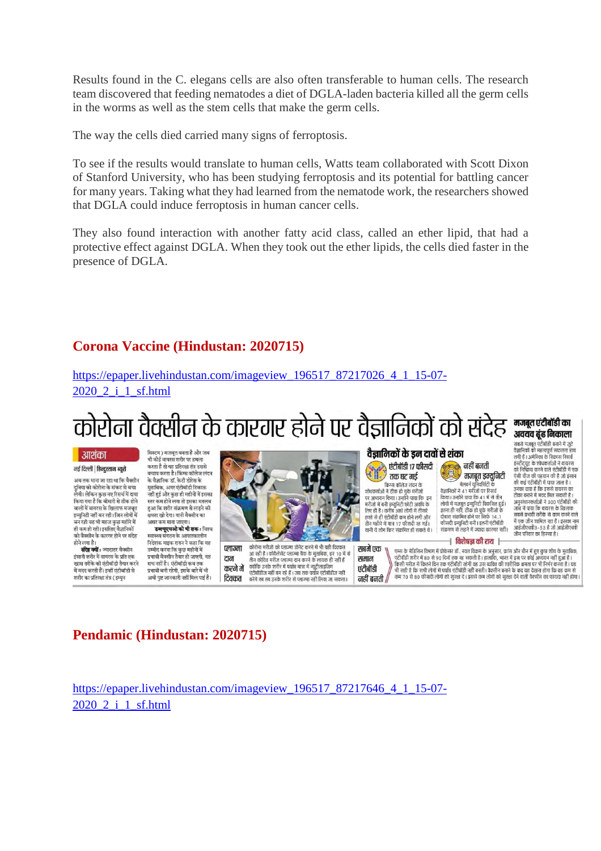Results found in the C. elegans cells are also often transferable to human cells. The research team discovered that feeding nematodes a diet of DGLA-laden bacteria killed all the germ cells in the worms as well as the stem cells that make the germ cells.

The way the cells died carried many signs of ferroptosis.

To see if the results would translate to human cells, Watts team collaborated with Scott Dixon of Stanford University, who has been studying ferroptosis and its potential for battling cancer for many years. Taking what they had learned from the nematode work, the researchers showed that DGLA could induce ferroptosis in human cancer cells.

They also found interaction with another fatty acid class, called an ether lipid, that had a protective effect against DGLA. When they took out the ether lipids, the cells died faster in the presence of DGLA.

#### **Corona Vaccine (Hindustan: 2020715)**

https://epaper.livehindustan.com/imageview\_196517\_87217026\_4\_1\_15-07- 2020\_2\_i\_1\_sf.html

## कोरोना वैक्सीन के कारगर होने पर वैज्ञानिकों को संदेह खुल्लुल्लुल्लुल्लु

#### | आशंका

#### नई दिल्ली | हिन्दुस्तान ब्यूरो

अब तक माना जा रहा था कि वैक्सीन -<br>दुनिया को कोरोना के संकट से बचा<br>लेगी। लेकिन कुछ नए रिसर्च में दावा किया गया है कि बीमारी से तीक होने .<br>बालों में वायरस के खिलाफ मजबूत इम्यनिटी नहीं बन रही। जिन लोगों मे बन रही वह भी महज कुछ महीने में ही कम हो रही। इसलिए वैज्ञानिकों को वैक्सीन के कारगर होने पर संदेह होने लगा है।

संदेह क्यों : ज्यादातर वैक्सीन इंसानी शरीर में वायरस के प्रति एक ग्वास तरीके की पंटीबॉडी तैयार करने .<br>में मदद करती हैं। इन्हीं एंटीबॉडी से शरीर का प्रतिरक्षा तंत्र ( इम्यन

भी कोई वायरस शरीर पर हमल करता है तो यह प्रतिरक्षा तंत्र उससे बचाव करता है। किंग्स कॉलेज लंदन के वैज्ञानिक डॉ. केटी डोरेस के क वज्ञानिक डा. कहा डारस क<br>मुताबिक, अगर एंटीबॉडी टिकाऊ नहीं हुई और कुछ ही महीनों में इसका स्तर कम होने लगा तो इसका मतलब हुआ कि शरीर संक्रमण से लड़ने की क्षमता खो देगा। यानी वैक्सीन का

सिस्टम ) मजबत बनता है और जब

असर कम माना जाए डब्ल्यएचओ को भी शक : विश्व स्वास्थ्य संगठन के आपातकालीन<br>निदेशक माइक रायन ने कहा कि यह उम्मीद करना कि कुछ महीनों में प्रभावी वैक्सीन तैयार हो जाएगी, यह मच नहीं है। एंटीबॉडी कब तक प्रभावी बनी रहेगी, इसके बारे में भी अभी पृष्ट जानकारी नहीं मिल पाई है।

टान



कोरोना मरीजों को प्लाज्मा डोनेट करने में भी यही दिक्कत प्लाज्मा ..<br>में से .<br>आ रही है । कोवैलेंसेंट प्लाज्मा बैंक के मुताबिक, हर तीन कोविड मरीज प्लाज्मा दान करने के लायक ही नहीं हैं ाने का उनके शरीर में पर्याप्त मात्रा में न्यूदौलाईजिंग<br>एंटीबॉडीज नहीं बन रहे हैं । जब तक पर्याप्त एंटीबॉडीज नहीं<br>बनेंगे तब तब उनके शरीर से प्लाज्मा नहीं लिया जा सकता। करने में टिक्कत

#### वैज्ञानिकों के डन दावों से शंका

एंटीबॉडी १७ फीसदी तक घट गई

लिए में कार्य कोलेज लंदन के<br>शोधकर्ताओं ने ठीक हो चुके मरीजों<br>पर अध्ययन किया। उन्होंने पाया कि इन पर अध्ययन किया। उन्होन पाया कि अन्<br>मरीजों में बनी इम्युनिटी छोटी अवधि के<br>लिए ही है। करीब आधे लोगों में तीसरे<br>हफ्ते से ही एंटीबॉडी कम होने लगी और तीन महीने में मात्र 17 फीसदी रह गई। यानी ये लोग फिर संक्रमित हो सकते थे।

सबमें एक

समान

एंटीबॉडी

नहीं बनती मजबूत इम्युनिटी रेलबर्न यूनिवर्सिटी के<br>वैज्ञानिकों ने 41 मरीजों पर रिसर्च<br>किया। उन्होंने पाया कि 41 में से तीन ार्थना में मजबूत इम्युनिटी विकसित हुई।<br>इतना ही नहीं, ठीक हो चुके मरीजों के<br>दोबारा संक्रमित होने पर सिर्फ 14.1<br>फौसदी इम्युनिटी बनी। इतनी एंटीबॉडी

#### संक्रमण से लड़ने में ज्यादा कारगर नहीं। ⊣ विशेषज्ञ की राय ।−

.<br>एम्स के मेडिसिन विभाग में प्रोफेसर डॉ . नवल विक्रम के अनुसार, फ्रांस और चीन में हुए कुछ शोध के मुताबिक, एंटीबॉडी शरीर में 80 से 90 दिनों तक रह सकती है । हालाँकि, भारत में इस पर कोई अध्ययन नहीं हुआ है । ९८१०७ र राउंट ने ठार से जग पत्ना कि यह रुप्तमा है। इस बात की साथ ने इस जर प्रश्न के अल्पना नहां छुआ है ।<br>किसी मरीज़ में कितने दिन तक एंटीबॉडी रहेगी वह उस व्यक्ति की शारीरिक क्षमता पर भी निर्भर करता है। यह<br>भी सही है कि सभी नहीं बनती /

#### **Pendamic (Hindustan: 2020715)**

https://epaper.livehindustan.com/imageview\_196517\_87217646\_4\_1\_15-07- 2020\_2\_i\_1\_sf.html

#### अवयव ढूंढ निकाला .<br>सबसे मजबूत एंटीबॉडी बनाने में जुटे

सबस नजबूरी स्टाबाज बनान न जुट<br>वैज्ञानिकों को महत्वपूर्ण सफलता हाथ<br>लगी है । अमेरिका के स्क्रिप्स रिसर्च<br>इंस्टीट्यूट के शोधकर्ताओं ने वायरस<br>को निष्क्रिय करने वाले पूंटीबॉडी में एक ऐसी चीज की घहचान की है जो इंसान रसा चाठा का बहुबान का है जा इसा<br>की कई एंटीबॉडी में पाया जाता है ।<br>उनका दावा है कि इससे वायरस का टीका बनाने में मदद मिल सकती है । टाज बनान न नपर गरा सरकारी की<br>अनुसंधानकर्ताओं ने 300 एंटीबॉडी की<br>जांच में पाया कि वायरस के खिलाफ<br>सबसे प्रभावी तरीके से काम करने वाले में एक जीन शामिल रहा है। इसका नाम न २००१ सामिल रहा है।<br>आईजीएचवी3–53 है जो आईजीएचवी<br>जीन परिवार का हिस्सा है।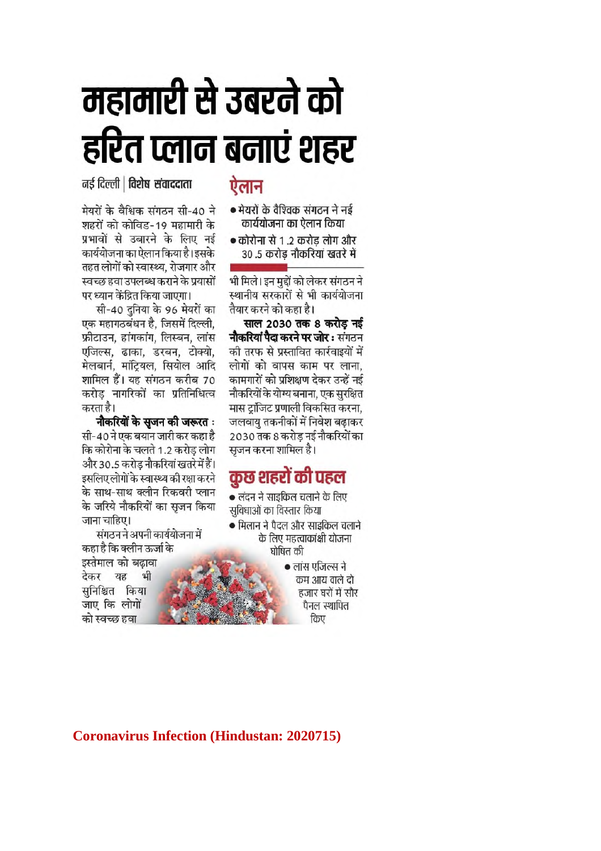## महामारी से उबरने को हरित प्लान बनाएं शहर

नर्ड दिल्ली | विशेष संवाददाता

मेयरों के वैश्विक संगठन सी-40 ने शहरों को कोविड-19 महामारी के प्रभावों से उबारने के लिए नई कार्ययोजना का ऐलान किया है। इसके तहत लोगों को स्वास्थ्य, रोजगार और स्वच्छ हवा उपलब्ध कराने के प्रयासों पर ध्यान केंद्रित किया जाएगा।

सी-40 दनिया के 96 मेयरों का एक महागठबंधन है. जिसमें दिल्ली. फ्रीटाउन, हांगकांग, लिस्बन, लांस एजिल्स, ढाका, डरबन, टोक्यो, मेलबार्न, मांट्रियल, सियोल आदि शामिल हैं। यह संगठन करीब 70 करोड नागरिकों का प्रतिनिधित्व करता है।

नौकरियों के सजन की जरूरत : सी-40 ने एक बयान जारी कर कहा है कि कोरोना के चलते 1.2 करोड लोग और 30.5 करोड नौकरियां खतरे में हैं। इसलिए लोगों के स्वास्थ्य की रक्षा करने के साथ-साथ क्लीन रिकवरी प्लान के जरिये नौकरियों का सुजन किया जाना चाहिए।

संगठन ने अपनी कार्ययोजना में कहा है कि क्लीन ऊर्जा के इस्तेमाल को बढावा देकर यह भी सुनिश्चित किया जाए कि लोगों को स्वच्छ हवा

## ऐलान

- मेयरों के वैश्विक संगठन ने नई कार्ययोजना का ऐलान किया
- कोरोना से 1.2 करोड लोग और 30 .5 करोड नौकरियां खतरे में

भी मिले। इन मुद्दों को लेकर संगठन ने स्थानीय सरकारों से भी कार्ययोजना तैयार करने को कहा है।

साल 2030 तक 8 करोड नई **नौकरियां पैदा करने पर जोर :** संगठन की तरफ से प्रस्तावित कार्रवाइयों में लोगों को वापस काम पर लाना. कामगारों को प्रशिक्षण देकर उन्हें नई नौकरियों के योग्य बनाना. एक सरक्षित मास टांजिट प्रणाली विकसित करना. जलवायु तकनीकों में निवेश बढ़ाकर 2030 तक 8 करोड नई नौकरियों का सजन करना शामिल है।

## कुछ शहरों की पहल

• लंदन ने साइकिल चलाने के लिए सविधाओं का विस्तार किया

- मिलान ने पैदल और साइकिल चलाने के लिए महत्त्वाकांक्षी योजना घोषित की
	- लांस एजिल्स ने कम आय वाले दो हजार घरों में सौर पैनल स्थापित किए

**Coronavirus Infection (Hindustan: 2020715)**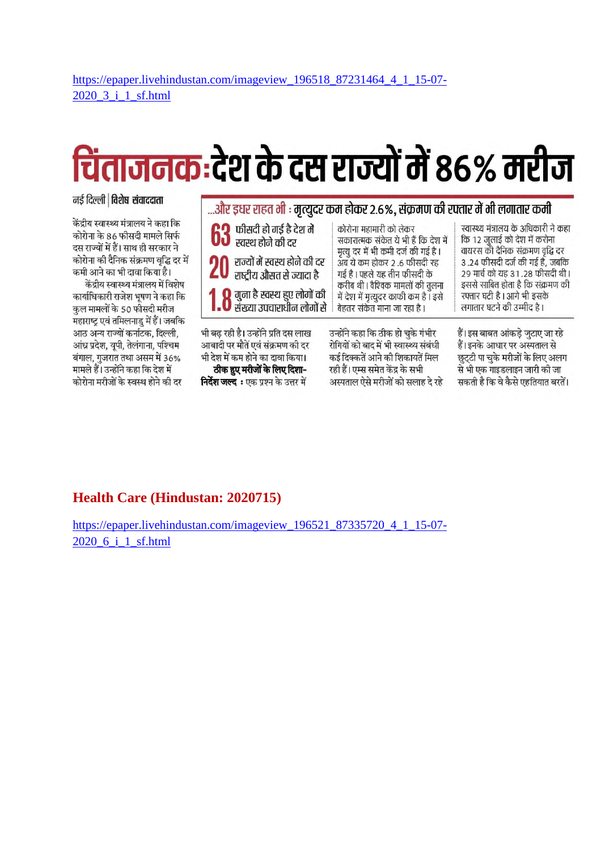## चिंताजनक:देश के दस राज्यों में 86% मरीज

#### नई दिल्ली | विशेष संवाददाता

केंद्रीय स्वास्थ्य मंत्रालय ने कहा कि कोरोना के 86 फीसदी मामले सिर्फ दस राज्यों में हैं। साथ ही सरकार ने कोरोना की दैनिक संक्रमण वृद्धि दर में कमी आने का भी दावा किया है।

केंद्रीय स्वास्थ्य मंत्रालय में विशेष कार्याधिकारी राजेश भूषण ने कहा कि कुल मामलों के 50 फीसदी मरीज महाराष्ट्र एवं तमिलनाडु में हैं। जबकि आठ अन्य राज्यों कर्नाटक, दिल्ली, आंध्र प्रदेश, यूपी, तेलंगाना, पश्चिम बंगाल, गुजरात तथा असम में 36% मामले हैं। उन्होंने कहा कि देश में कोरोना मरीजों के स्वस्थ होने की दर

| और इधर राहत भी : मृत्युदर कम होकर 2.6%, संक्रमण की रफ्तार में भी लगातार कमी                                                                                                                 |                                                                                                                                                                                         |                                                                                                                                                                           |  |  |  |  |  |  |
|---------------------------------------------------------------------------------------------------------------------------------------------------------------------------------------------|-----------------------------------------------------------------------------------------------------------------------------------------------------------------------------------------|---------------------------------------------------------------------------------------------------------------------------------------------------------------------------|--|--|--|--|--|--|
| 63 फीसदी हो गई है देश में                                                                                                                                                                   | कोरोना महामारी को लेकर<br>सकारात्मक संकेत ये भी हैं कि देश में<br>मृत्यु दर में भी कमी दर्ज की गई है ।                                                                                  | स्वास्थ्य मंत्रालय के अधिकारी ने कहा<br>कि 12 जुलाई को देश में करोना<br>वायरस की दैनिक संक्रमण वृद्धि दर                                                                  |  |  |  |  |  |  |
| 20 राज्यों में स्वस्थ होने की दर<br>राष्ट्रीय औसत से ज्यादा है                                                                                                                              | अब ये कम होकर 2.6 फीसदी रह<br>गई है । पहले यह तीन फीसदी के                                                                                                                              | 3 .24 फीसदी दर्ज की गई है, जबकि<br>२९ मार्च को यह ३१.२८ फीसदी थी।<br>इससे साबित होता है कि संक्रमण की                                                                     |  |  |  |  |  |  |
| <b>1.0</b> गुना है स्वस्थ हुए लोगों की<br>1.0 संख्या उपचाराधीन लोगों से                                                                                                                     | करीब थी। वैश्विक मामलों की तुलना<br>में देश में मृत्युदर काफी कम है। इसे<br>बेहतर संकेत माना जा रहा है।                                                                                 | रफ्तार घटी है । आगे भी इसके<br>लगातार घटने की उम्मीद है।                                                                                                                  |  |  |  |  |  |  |
| भी बढ़ रही है। उन्होंने प्रति दस लाख<br>आबादी पर मौतें एवं संक्रमण की दर<br>भी देश में कम होने का दावा किया।<br>ठीक हुए मरीजों के लिए दिशा-<br><b>निर्देश जल्द</b> ः एक प्रश्न के उत्तर में | उन्होंने कहा कि ठीक हो चुके गंभीर<br>रोगियों को बाद में भी स्वास्थ्य संबंधी<br>कई दिक्कतें आने की शिकायतें मिल<br>रही हैं। एम्स समेत केंद्र के सभी<br>अस्पताल ऐसे मरीजों को सलाह दे रहे | हैं। इस बाबत आंकड़े जुटाए जा रहे<br>हैं। इनके आधार पर अस्पताल से<br>छुट्टी पा चुके मरीजों के लिए अलग<br>से भी एक गाइडलाइन जारी की जा<br>सकती है कि वे कैसे एहतियात बरतें। |  |  |  |  |  |  |

#### **Health Care (Hindustan: 2020715)**

https://epaper.livehindustan.com/imageview\_196521\_87335720\_4\_1\_15-07- 2020\_6\_i\_1\_sf.html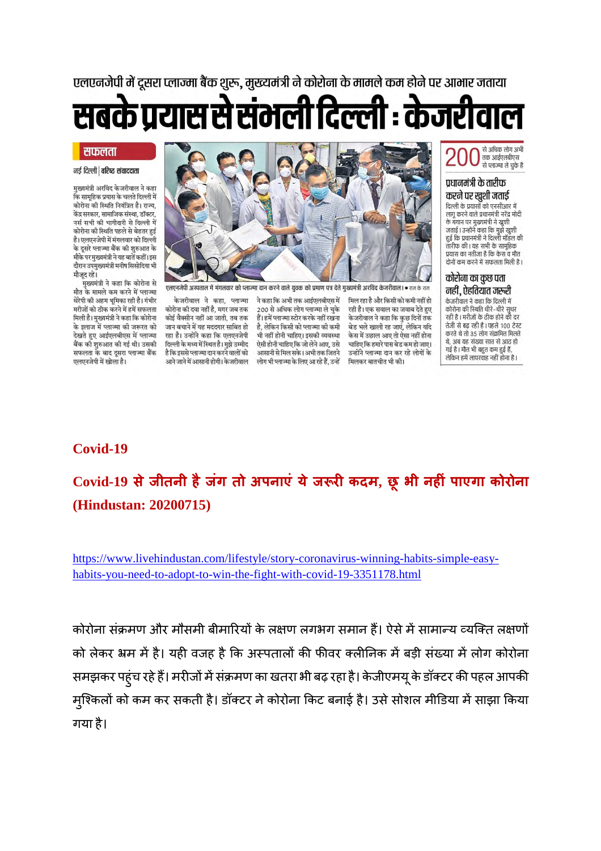एलएनजेपी में दूसरा प्लाज्मा बैंक शुरू, मुख्यमंत्री ने कोरोना के मामले कम होने पर आभार जताया

सबके प्रयास से संभली दिल्ली : केजरीवाल

#### सफलता

नई दिल्ली | वरिष्ट संवाददाता

मख्यमंत्री अरविंद केजरीवाल ने कहा .<br>कि सामहिक पयास के चलते दिल्ली में कोरोना की स्थिति नियंत्रित है। राज्य. केंद्र सरकार, सामाजिक संस्था, डॉक्टर, नर्स सभी की भागीदारी से दिल्ली में कोरोना की स्थिति पहले से बेहतर हुई है। एलएनजेपी में मंगलवार को दिल्ली के दूसरे प्लाज्मा बैंक को शुरुआत के मौके पर मुख्यमंत्री ने वह बातें कहीं। इस दौरान उपमुख्यमंत्री मनीष सिसोदिया भी मौजूद रहे।

मुख्यमंत्री ने कहा कि कोरोना से मौत के मामले कम करने में प्लाज्मा थेरेपी की अहम भूमिका रही है। गंभीर मरीजों को ठीक करने में हमें सफलता मिली है। मुख्यमंत्री ने कहा कि कोरोना के इलाज में प्लाज्मा की जरूरत को देखते हुए आईएलबीएस में प्लाज्मा बैंक की शुरुआत की गई थी। उसकी सफलता के बाद दूसरा प्लाज्मा बैंक एलएनजेपी में खोला है।



.<br>एनजेपी अस्पताल में मंगलवार को प्लाज्मा दान करने वाले युवक को प्रमाण पत्र देते मुख्यमंत्री अरविंद केजरीवाल। ● राज के राज

केजरीवाल ने कहा, प्लाज्मा कोरोना की दवा नहीं है, मगर जब तक कोई वैक्सीन नहीं आ जाती, तब तक जान बचाने में यह मददगार साबित हो रहा है। उन्होंने कहा कि एलएनजेपी दिल्ली के मध्य में स्थित है। मझे उम्मीद है कि इससे प्लाज्मा दान करने वालों को आने जाने में आसानी होगी। केजरीवाल

ने कहा कि अभी तक आईएलबीएस में 200 से अधिक लोग प्लाज्मा ले चुके हैं। हमें प्लाज्मा स्टोर करके नहीं रखना है, लेकिन किसी को प्लाज्मा की कमी भी नहीं होनी चाहिए। इसकी व्यवस्था ऐसी होनी चाहिए कि जो लेने आए. उसे आसानी से मिल सके। अभी तक जितने लोग भी प्लाज्मा के लिए आ रहे हैं, उन्हें

मिल रहा है और किसी को कमी नहीं हो रही है। एक सवाल का जवाब देते हुए केजरीवाल ने कहा कि कुछ दिनों तक .<br>बेड भले खाली रह जाएं, लेकिन यदि केस में उछाल आए तो ऐसा नहीं होना चाहिए कि हमारे पास बेड कम हो जाए। उन्होंने प्लाज्मा दान कर रहे लोगों के मिलकर बातचीत भी की।



#### प्रधानमंत्री के तारीफ करने पर खुशी जताई

दिल्ली के प्रयासों को एनसीआर में लागू करने वाले प्रधानमंत्री नरेंद्र मोदी के बयान पर मुख्यमंत्री ने खशी क बनान पर मुख्यमंत्रा न खुशा<br>जताई | उन्होंने कहा कि मुझे खुशी<br>हुई कि प्रधानमंत्री ने दिल्ली मॉडल की तारीफ की। यह सभी के सामहिक दोनों कम करने में सफलता मिली है।

#### कोरोना का कुछ पता नहीं, ऐहतियात जरूरी

.<br>केजरीवाल ने कहा कि दिल्ली में कडारानारा । कहानक रास्ता ।<br>कोरोना की स्थिति धीरे–धीरे सुधर रही है । मरीजों के ठीक होने की दर तेजी से बढ़ रही है। पहले 100 टेस्ट करते थे तो 35 लोग संक्रमित मिलते .<br>थे अब यह संख्या सात से आद हो गई है। मौत भी बहुत कम हुई हैं, लेकिन हमें लापरवाह नहीं होना है।

#### **Covid-19**

## **Covid-19 सेजीतनी हैजंग तो अपनाएं येज रकदम, छ ू भी नहं पाएगा कोरोना (Hindustan: 20200715)**

https://www.livehindustan.com/lifestyle/story-coronavirus-winning-habits-simple-easyhabits-you-need-to-adopt-to-win-the-fight-with-covid-19-3351178.html

कोरोना संक्रमण और मौसमी बीमारियों के लक्षण लगभग समान हैं। ऐसे में सामान्य व्यक्ति लक्षणों को लेकर भ्रम में है। यही वजह है कि अस्पतालों की फीवर क्लीनिक में बड़ी संख्या में लोग कोरोना समझकर पहुंच रहे हैं। मरीजों में संक्रमण का खतरा भी बढ़ रहा है। केजीएमयू के डॉक्टर की पहल आपकी मुश्किलों को कम कर सकती है। डॉक्टर ने कोरोना किट बनाई है। उसे सोशल मीडिया में साझा किया गया है।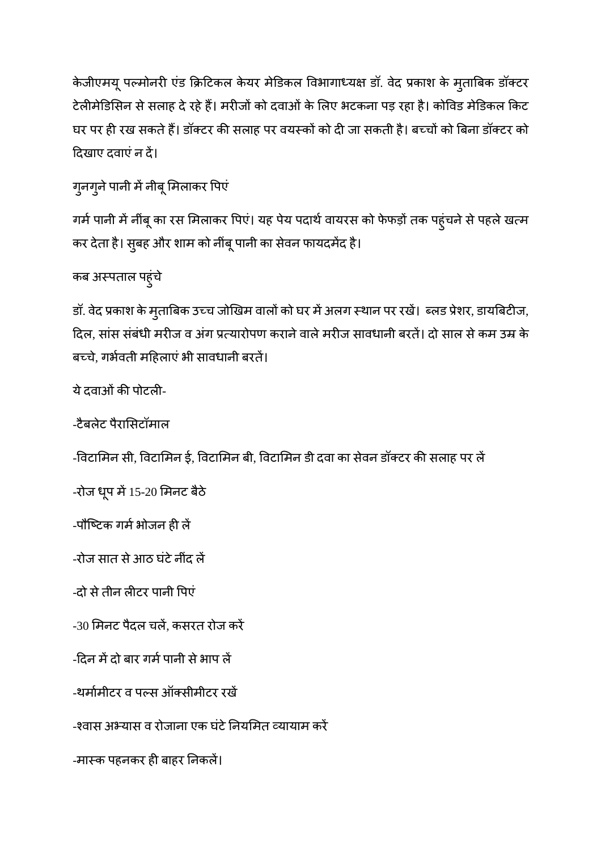केजीएमयू पल्मोनरी एंड क्रिटिकल केयर मेडिकल विभागाध्यक्ष डॉ. वेद प्रकाश के मृताबिक डॉक्टर टेलीमेडिसिन से सलाह दे रहे हैं। मरीजों को दवाओं के लिए भटकना पड़ रहा है। कोविड मेडिकल किट घर पर ही रख सकते हैं। डॉक्टर की सलाह पर वयस्कों को दी जा सकती है। बच्चों को बिना डॉक्टर को दखाए दवाएंन द।

गुनगुने पानी में नीबू मिलाकर पिएं

गर्म पानी में नींबू का रस मिलाकर पिएं। यह पेय पदार्थ वायरस को फेफड़ों तक पहुंचने से पहले खत्म कर देता है। सुबह और शाम को नींबूपानी का सेवन फायदमद है।

कब अपताल पहुंचे

डॉ. वेद प्रकाश के मुताबिक उच्च जोखिम वालों को घर में अलग स्थान पर रखें। ब्लड प्रेशर, डायबिटीज, दिल, सांस संबंधी मरीज व अंग प्रत्यारोपण कराने वाले मरीज सावधानी बरतें। दो साल से कम उम्र के बच्चे, गर्भवती महिलाएं भी सावधानी बरतें।

ये दवाओं की पोटली-

-टैबलेट पैरासटॉमाल

-विटामिन सी, विटामिन ई, विटामिन बी, विटामिन डी दवा का सेवन डॉक्टर की सलाह पर लें

 $-$ रोज धृप में 15-20 मिनट बैठे

-पौष्टिक गर्म भोजन ही लें

-रोज सात से आठ घंटे नींद लें

-दो सेतीन लटर पानी पएं

-30 मनट पैदल चल, कसरत रोज कर

-दिन में दो बार गर्म पानी से भाप लें

-थर्मामीटर व पल्स ऑक्सीमीटर रखें

-श्वास अभ्यास व रोजाना एक घंटे नियमित व्यायाम करें

-मास्क पहनकर ही बाहर निकलें।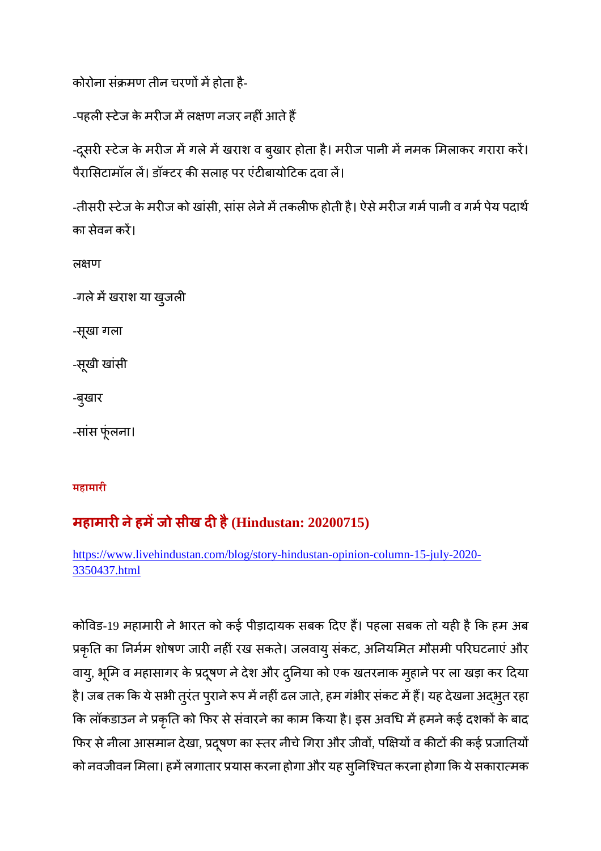कोरोना संक्रमण तीन चरणों में होता है-

-पहली स्टेज के मरीज में लक्षण नजर नहीं आते हैं

-दूसरी स्टेज के मरीज में गले में खराश व बुखार होता है। मरीज पानी में नमक मिलाकर गरारा करें। पैरासिटामॉल लें। डॉक्टर की सलाह पर एंटीबायोटिक दवा लें।

-तीसरी स्टेज के मरीज को खांसी, सांस लेने में तकलीफ होती है। ऐसे मरीज गर्म पानी व गर्म पेय पदार्थ का सेवन कर।

लक्षण

-गले में खराश या खुजली

-सूखा गला

-सूखी खांसी

-बुखार

-सांस फूंलना।

**महामारी**

### **महामारनेहमजो सीख दहै(Hindustan: 20200715)**

https://www.livehindustan.com/blog/story-hindustan-opinion-column-15-july-2020- 3350437.html

कोविड-19 महामारी ने भारत को कई पीड़ादायक सबक दिए हैं। पहला सबक तो यही है कि हम अब प्रकृति का निर्मम शोषण जारी नहीं रख सकते। जलवायु संकट, अनियमित मौसमी परिघटनाएं और वायु, भूमि व महासागर के प्रदूषण ने देश और दुनिया को एक खतरनाक मुहाने पर ला खड़ा कर दिया है। जब तक कि ये सभी तुरंत पुराने रूप में नहीं ढल जाते, हम गंभीर संकट में हैं। यह देखना अद्भुत रहा कि लॉकडाउन ने प्रकृति को फिर से संवारने का काम किया है। इस अवधि में हमने कई दशकों के बाद फिर से नीला आसमान देखा, प्रदूषण का स्तर नीचे गिरा और जीवों, पक्षियों व कीटों की कई प्रजातियों को नवजीवन मिला। हमें लगातार प्रयास करना होगा और यह सुनिश्चित करना होगा कि ये सकारात्मक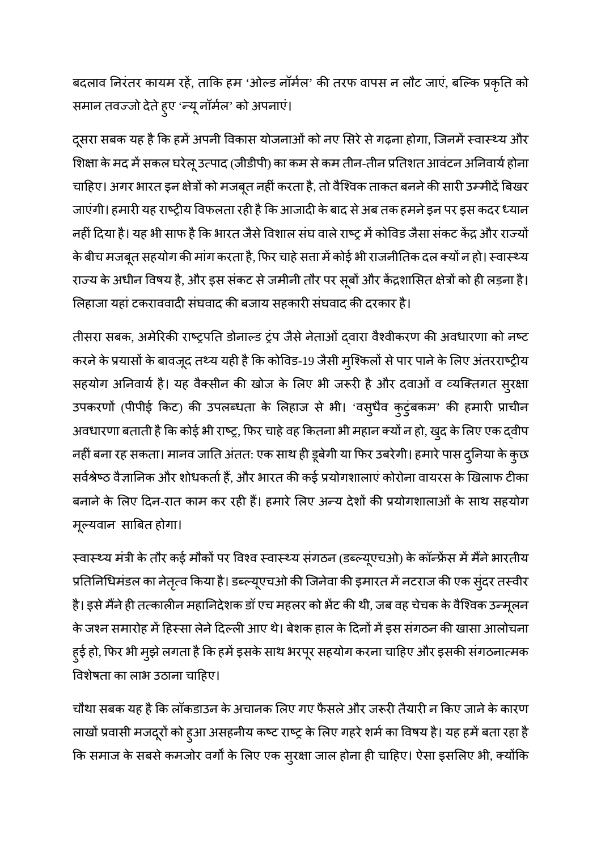बदलाव निरंतर कायम रहें, ताकि हम 'ओल्ड नॉर्मल' की तरफ वापस न लौट जाएं, बल्कि प्रकृति को समान तवज्जो देते हुए 'न्यू नॉर्मल' को अपनाएं।

दूसरा सबक यह है कि हमें अपनी विकास योजनाओं को नए सिरे से गढ़ना होगा, जिनमें स्वास्थ्य और शिक्षा के मद में सकल घरेलू उत्पाद (जीडीपी) का कम से कम तीन-तीन प्रतिशत आवंटन अनिवार्य होना चाहिए। अगर भारत इन क्षेत्रों को मजबूत नहीं करता है, तो वैश्विक ताकत बनने की सारी उम्मीदें बिखर जाएंगी। हमारी यह राष्ट्रीय विफलता रही है कि आजादी के बाद से अब तक हमने इन पर इस कदर ध्यान नहीं दिया है। यह भी साफ है कि भारत जैसे विशाल संघ वाले राष्ट्र में कोविड जैसा संकट केंद्र और राज्यों के बीच मजबूत सहयोग की मांग करता है, फिर चाहे सत्ता में कोई भी राजनीतिक दल क्यों न हो। स्वास्थ्य राज्य के अधीन विषय है, और इस संकट से जमीनी तौर पर सूबों और केंद्रशासित क्षेत्रों को ही लड़ना है। लिहाजा यहां टकराववादी संघवाद की बजाय सहकारी संघवाद की दरकार है।

तीसरा सबक, अमेरिकी राष्ट्रपति डोनाल्ड ट्रंप जैसे नेताओं दवारा वैश्वीकरण की अवधारणा को नष्ट करने के प्रयासों के बावजूद तथ्य यही है कि कोविड-19 जैसी मुश्किलों से पार पाने के लिए अंतरराष्ट्रीय सहयोग अनिवार्य है। यह वैक्सीन की खोज के लिए भी जरूरी है और दवाओं व व्यक्तिगत सुरक्षा उपकरणों (पीपीई किट) की उपलब्धता के लिहाज से भी। 'वसुधैव कुटुंबकम' की हमारी प्राचीन अवधारणा बताती है कि कोई भी राष्ट्र, फिर चाहे वह कितना भी महान क्यों न हो, खुद के लिए एक द्वीप नहीं बना रह सकता। मानव जाति अंतत: एक साथ ही डूबेगी या फिर उबरेगी। हमारे पास दुनिया के कुछ सर्वश्रेष्ठ वैज्ञानिक और शोधकर्ता हैं, और भारत की कई प्रयोगशालाएं कोरोना वायरस के खिलाफ टीका बनाने के लिए दिन-रात काम कर रही हैं। हमारे लिए अन्य देशों की प्रयोगशालाओं के साथ सहयोग मूयवान साबत होगा।

स्वास्थ्य मंत्री के तौर कई मौकों पर विश्व स्वास्थ्य संगठन (डब्ल्यूएचओ) के कॉन्फ्रेंस में मैंने भारतीय प्रतिनिधिमंडल का नेतृत्व किया है। डब्ल्यूएचओ की जिनेवा की इमारत में नटराज की एक सुंदर तस्वीर है। इसे मैंने ही तत्कालीन महानिदेशक डॉ एच महलर को भेंट की थी, जब वह चेचक के वैश्विक उन्मूलन के जश्न समारोह में हिस्सा लेने दिल्ली आए थे। बेशक हाल के दिनों में इस संगठन की खासा आलोचना हुई हो, फिर भी मुझे लगता है कि हमें इसके साथ भरपूर सहयोग करना चाहिए और इसकी संगठनात्मक विशेषता का लाभ उठाना चाहिए।

चौथा सबक यह है कि लॉकडाउन के अचानक लिए गए फैसले और जरूरी तैयारी न किए जाने के कारण लाखों प्रवासी मजदूरों को हुआ असहनीय कष्ट राष्ट्र के लिए गहरे शर्म का विषय है। यह हमें बता रहा है कि समाज के सबसे कमजोर वर्गों के लिए एक सुरक्षा जाल होना ही चाहिए। ऐसा इसलिए भी, क्योंकि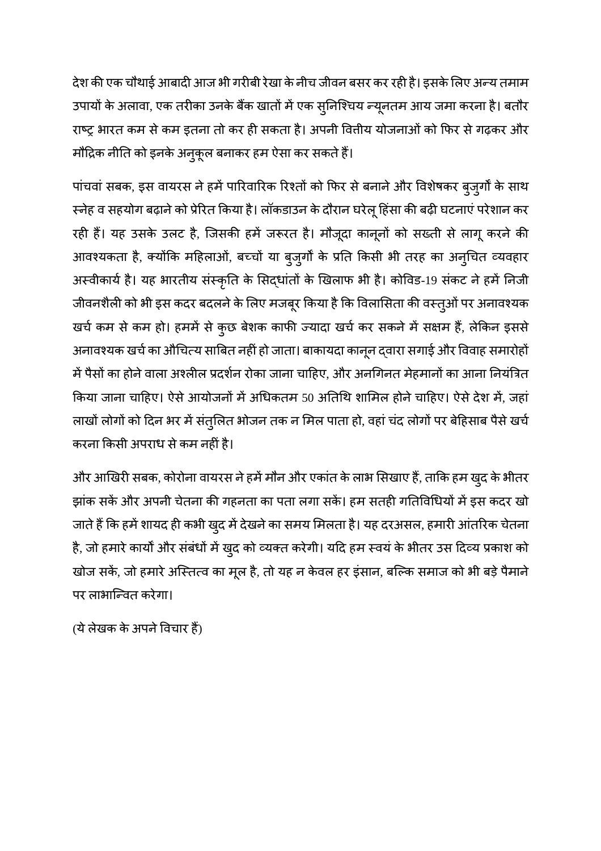देश की एक चौथाई आबादी आज भी गरीबी रेखा के नीच जीवन बसर कर रही है। इसके लिए अन्य तमाम उपायों के अलावा, एक तरीका उनके बैंक खातों में एक सुनिश्चिय न्यूनतम आय जमा करना है। बतौर राष्ट्र भारत कम से कम इतना तो कर ही सकता है। अपनी वितीय योजनाओं को फिर से गढ़कर और मौद्रिक नीति को इनके अनुकूल बनाकर हम ऐसा कर सकते हैं।

पांचवां सबक, इस वायरस ने हमें पारिवारिक रिश्तों को फिर से बनाने और विशेषकर बुजुर्गों के साथ स्नेह व सहयोग बढ़ाने को प्रेरित किया है। लॉकडाउन के दौरान घरेलू हिंसा की बढ़ी घटनाएं परेशान कर रही हैं। यह उसके उलट है, जिसकी हमें जरूरत है। मौजूदा कानूनों को सख्ती से लागू करने की आवश्यकता है, क्योंकि महिलाओं, बच्चों या बुजुर्गों के प्रति किसी भी तरह का अनुचित व्यवहार अस्वीकार्य है। यह भारतीय संस्कृति के सिद्धांतों के खिलाफ भी है। कोविड-19 संकट ने हमें निजी जीवनशैली को भी इस कदर बदलने के लिए मजबूर किया है कि विलासिता की वस्तुओं पर अनावश्यक खर्च कम से कम हो। हममें से कुछ बेशक काफी ज्यादा खर्च कर सकने में सक्षम हैं, लेकिन इससे अनावश्यक खर्च का औचित्य साबित नहीं हो जाता। बाकायदा कानून द्वारा सगाई और विवाह समारोहों में पैसों का होने वाला अश्लील प्रदर्शन रोका जाना चाहिए, और अनगिनत मेहमानों का आना नियंत्रित किया जाना चाहिए। ऐसे आयोजनों में अधिकतम 50 अतिथि शामिल होने चाहिए। ऐसे देश में, जहां लाखों लोगों को दिन भर में संतुलित भोजन तक न मिल पाता हो, वहां चंद लोगों पर बेहिसाब पैसे खर्च करना कसी अपराध सेकम नहंहै।

और आखिरी सबक, कोरोना वायरस ने हमें मौन और एकांत के लाभ सिखाए हैं, ताकि हम खुद के भीतर झांक सकें और अपनी चेतना की गहनता का पता लगा सकें। हम सतही गतिविधियों में इस कदर खो जाते हैं कि हमें शायद ही कभी खुद में देखने का समय मिलता है। यह दरअसल, हमारी आंतरिक चेतना है, जो हमारे कार्यों और संबंधों में खुद को व्यक्त करेगी। यदि हम स्वयं के भीतर उस दिव्य प्रकाश को खोज सकें, जो हमारे अस्तित्व का मूल है, तो यह न केवल हर इंसान, बल्कि समाज को भी बड़े पैमाने पर लाभािवत करेगा।

(ये लेखक के अपने विचार हैं)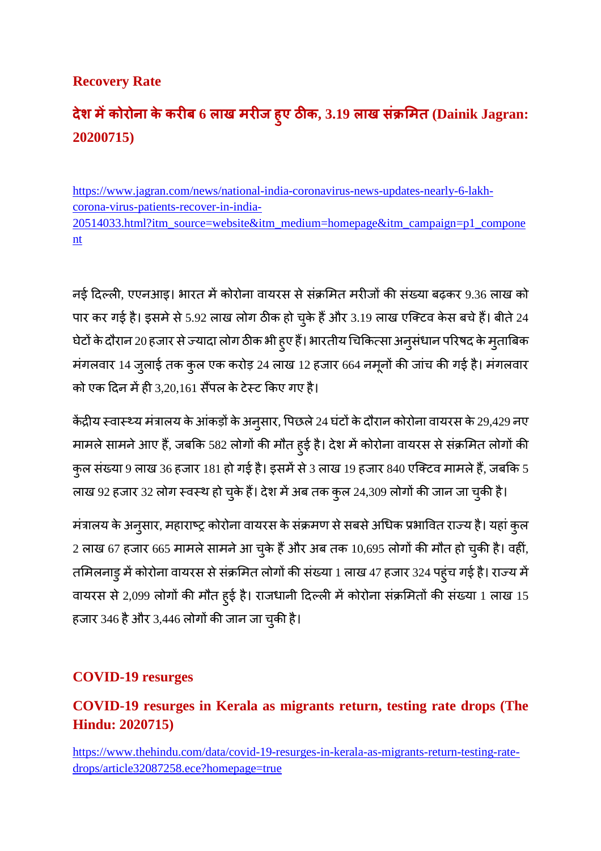#### **Recovery Rate**

## **देश मकोरोना केकरब 6 लाख मरज ह ु ए ठक, 3.19 लाख सं मत (Dainik Jagran: 20200715)**

https://www.jagran.com/news/national-india-coronavirus-news-updates-nearly-6-lakhcorona-virus-patients-recover-in-india-20514033.html?itm\_source=website&itm\_medium=homepage&itm\_campaign=p1\_compone nt

नई दिल्ली, एएनआइ। भारत में कोरोना वायरस से संक्रमित मरीजों की संख्या बढ़कर 9.36 लाख को पार कर गई है। इसमे से 5.92 लाख लोग ठीक हो चुके हैं और 3.19 लाख एक्टिव केस बचे हैं। बीते 24 घेटों के दौरान 20 हजार से ज्यादा लोग ठीक भी हुए हैं। भारतीय चिकित्सा अनुसंधान परिषद के मुताबिक मंगलवार 14 जुलाई तक कुल एक करोड़ 24 लाख 12 हजार 664 नमूनों की जांच की गई है। मंगलवार को एक दिन में ही 3,20,161 सैंपल के टेस्ट किए गए है।

केंद्रीय स्वास्थ्य मंत्रालय के आंकड़ों के अनुसार, पिछले 24 घंटों के दौरान कोरोना वायरस के 29,429 नए मामले सामने आए हैं, जबकि 582 लोगों की मौत हुई है। देश में कोरोना वायरस से संक्रमित लोगों की कुल संख्या 9 लाख 36 हजार 181 हो गई है। इसमें से 3 लाख 19 हजार 840 एक्टिव मामले हैं, जबकि 5

लाख 92 हजार 32 लोग स्वस्थ हो चुके हैं। देश में अब तक कुल 24,309 लोगों की जान जा चुकी है।

मंत्रालय के अनुसार, महाराष्ट्र कोरोना वायरस के संक्रमण से सबसे अधिक प्रभावित राज्य है। यहां कुल 2 लाख 67 हजार 665 मामले सामने आ चुके हैं और अब तक 10,695 लोगों की मौत हो चुकी है। वहीं, तमिलनाडु में कोरोना वायरस से संक्रमित लोगों की संख्या 1 लाख 47 हजार 324 पहुंच गई है। राज्य में वायरस से 2,099 लोगों की मौत हुई है। राजधानी दिल्ली में कोरोना संक्रमितों की संख्या 1 लाख 15 हजार 346 है और 3,446 लोगों की जान जा चुकी है।

#### **COVID-19 resurges**

#### **COVID-19 resurges in Kerala as migrants return, testing rate drops (The Hindu: 2020715)**

https://www.thehindu.com/data/covid-19-resurges-in-kerala-as-migrants-return-testing-ratedrops/article32087258.ece?homepage=true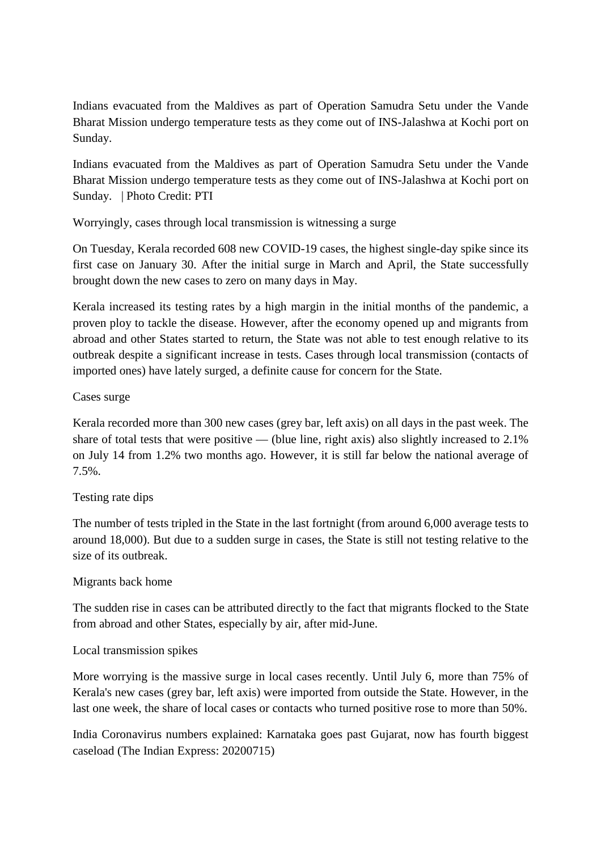Indians evacuated from the Maldives as part of Operation Samudra Setu under the Vande Bharat Mission undergo temperature tests as they come out of INS-Jalashwa at Kochi port on Sunday.

Indians evacuated from the Maldives as part of Operation Samudra Setu under the Vande Bharat Mission undergo temperature tests as they come out of INS-Jalashwa at Kochi port on Sunday. | Photo Credit: PTI

Worryingly, cases through local transmission is witnessing a surge

On Tuesday, Kerala recorded 608 new COVID-19 cases, the highest single-day spike since its first case on January 30. After the initial surge in March and April, the State successfully brought down the new cases to zero on many days in May.

Kerala increased its testing rates by a high margin in the initial months of the pandemic, a proven ploy to tackle the disease. However, after the economy opened up and migrants from abroad and other States started to return, the State was not able to test enough relative to its outbreak despite a significant increase in tests. Cases through local transmission (contacts of imported ones) have lately surged, a definite cause for concern for the State.

#### Cases surge

Kerala recorded more than 300 new cases (grey bar, left axis) on all days in the past week. The share of total tests that were positive — (blue line, right axis) also slightly increased to  $2.1\%$ on July 14 from 1.2% two months ago. However, it is still far below the national average of 7.5%.

#### Testing rate dips

The number of tests tripled in the State in the last fortnight (from around 6,000 average tests to around 18,000). But due to a sudden surge in cases, the State is still not testing relative to the size of its outbreak.

#### Migrants back home

The sudden rise in cases can be attributed directly to the fact that migrants flocked to the State from abroad and other States, especially by air, after mid-June.

#### Local transmission spikes

More worrying is the massive surge in local cases recently. Until July 6, more than 75% of Kerala's new cases (grey bar, left axis) were imported from outside the State. However, in the last one week, the share of local cases or contacts who turned positive rose to more than 50%.

India Coronavirus numbers explained: Karnataka goes past Gujarat, now has fourth biggest caseload (The Indian Express: 20200715)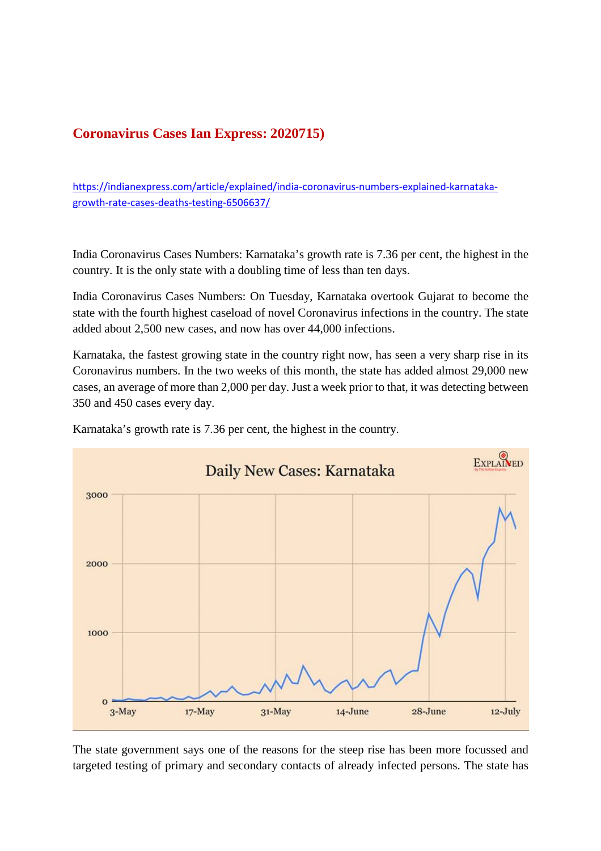#### **Coronavirus Cases Ian Express: 2020715)**

https://indianexpress.com/article/explained/india-coronavirus-numbers-explained-karnatakagrowth-rate-cases-deaths-testing-6506637/

India Coronavirus Cases Numbers: Karnataka's growth rate is 7.36 per cent, the highest in the country. It is the only state with a doubling time of less than ten days.

India Coronavirus Cases Numbers: On Tuesday, Karnataka overtook Gujarat to become the state with the fourth highest caseload of novel Coronavirus infections in the country. The state added about 2,500 new cases, and now has over 44,000 infections.

Karnataka, the fastest growing state in the country right now, has seen a very sharp rise in its Coronavirus numbers. In the two weeks of this month, the state has added almost 29,000 new cases, an average of more than 2,000 per day. Just a week prior to that, it was detecting between 350 and 450 cases every day.



Karnataka's growth rate is 7.36 per cent, the highest in the country.

The state government says one of the reasons for the steep rise has been more focussed and targeted testing of primary and secondary contacts of already infected persons. The state has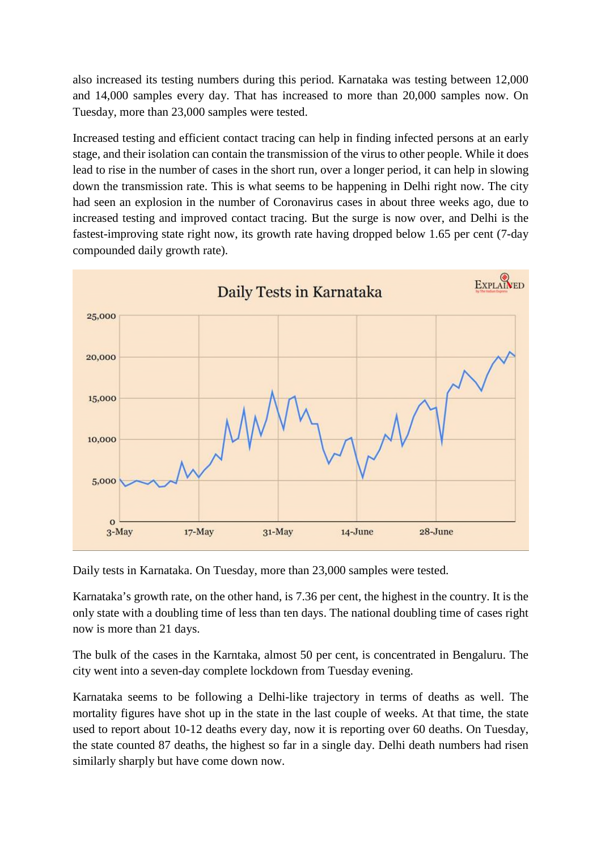also increased its testing numbers during this period. Karnataka was testing between 12,000 and 14,000 samples every day. That has increased to more than 20,000 samples now. On Tuesday, more than 23,000 samples were tested.

Increased testing and efficient contact tracing can help in finding infected persons at an early stage, and their isolation can contain the transmission of the virus to other people. While it does lead to rise in the number of cases in the short run, over a longer period, it can help in slowing down the transmission rate. This is what seems to be happening in Delhi right now. The city had seen an explosion in the number of Coronavirus cases in about three weeks ago, due to increased testing and improved contact tracing. But the surge is now over, and Delhi is the fastest-improving state right now, its growth rate having dropped below 1.65 per cent (7-day compounded daily growth rate).



Daily tests in Karnataka. On Tuesday, more than 23,000 samples were tested.

Karnataka's growth rate, on the other hand, is 7.36 per cent, the highest in the country. It is the only state with a doubling time of less than ten days. The national doubling time of cases right now is more than 21 days.

The bulk of the cases in the Karntaka, almost 50 per cent, is concentrated in Bengaluru. The city went into a seven-day complete lockdown from Tuesday evening.

Karnataka seems to be following a Delhi-like trajectory in terms of deaths as well. The mortality figures have shot up in the state in the last couple of weeks. At that time, the state used to report about 10-12 deaths every day, now it is reporting over 60 deaths. On Tuesday, the state counted 87 deaths, the highest so far in a single day. Delhi death numbers had risen similarly sharply but have come down now.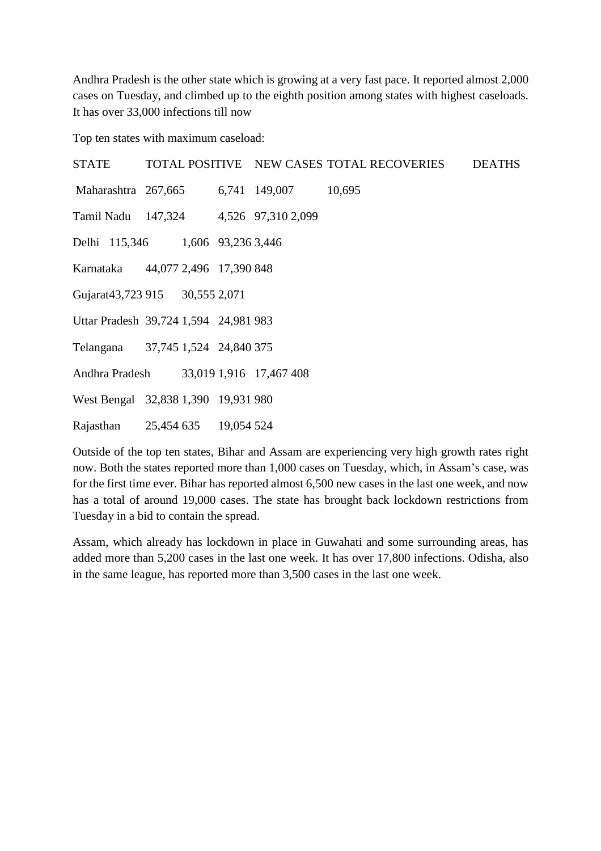Andhra Pradesh is the other state which is growing at a very fast pace. It reported almost 2,000 cases on Tuesday, and climbed up to the eighth position among states with highest caseloads. It has over 33,000 infections till now

Top ten states with maximum caseload:

| <b>STATE</b>                           |  |                                          | TOTAL POSITIVE NEW CASES TOTAL RECOVERIES | <b>DEATHS</b> |
|----------------------------------------|--|------------------------------------------|-------------------------------------------|---------------|
|                                        |  | Maharashtra 267,665 6,741 149,007 10,695 |                                           |               |
| Tamil Nadu 147,324 4,526 97,310 2,099  |  |                                          |                                           |               |
| Delhi 115,346 1,606 93,236 3,446       |  |                                          |                                           |               |
| Karnataka 44,077 2,496 17,390 848      |  |                                          |                                           |               |
| Gujarat43,723 915 30,555 2,071         |  |                                          |                                           |               |
| Uttar Pradesh 39,724 1,594 24,981 983  |  |                                          |                                           |               |
| Telangana 37,745 1,524 24,840 375      |  |                                          |                                           |               |
| Andhra Pradesh 33,019 1,916 17,467 408 |  |                                          |                                           |               |
| West Bengal 32,838 1,390 19,931 980    |  |                                          |                                           |               |
| Rajasthan 25,454 635 19,054 524        |  |                                          |                                           |               |

Outside of the top ten states, Bihar and Assam are experiencing very high growth rates right now. Both the states reported more than 1,000 cases on Tuesday, which, in Assam's case, was for the first time ever. Bihar has reported almost 6,500 new cases in the last one week, and now has a total of around 19,000 cases. The state has brought back lockdown restrictions from Tuesday in a bid to contain the spread.

Assam, which already has lockdown in place in Guwahati and some surrounding areas, has added more than 5,200 cases in the last one week. It has over 17,800 infections. Odisha, also in the same league, has reported more than 3,500 cases in the last one week.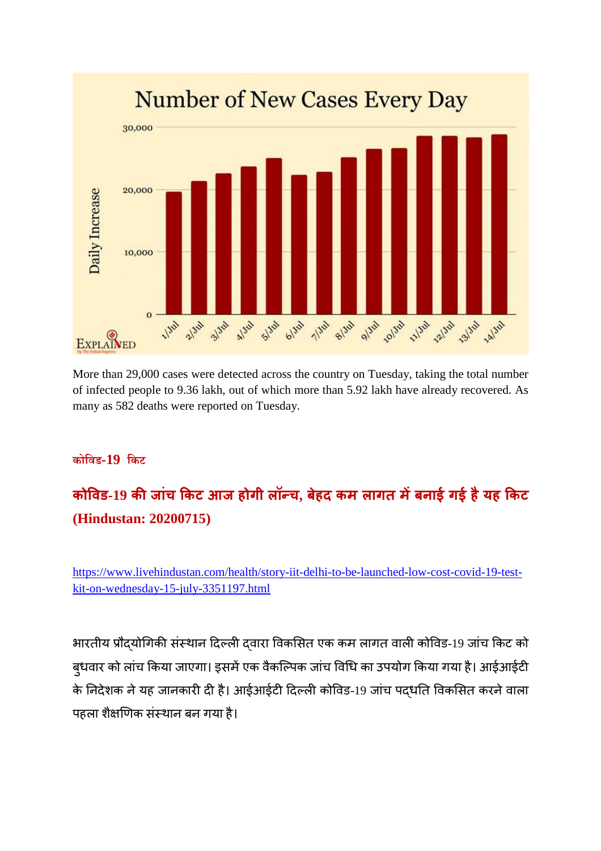

More than 29,000 cases were detected across the country on Tuesday, taking the total number of infected people to 9.36 lakh, out of which more than 5.92 lakh have already recovered. As many as 582 deaths were reported on Tuesday.

#### **कोिवड-19 िकट**

## **कोवड-19 कजांच कट आज होगी लॉच, बेहद कम लागत मबनाई गई हैयह कट (Hindustan: 20200715)**

https://www.livehindustan.com/health/story-iit-delhi-to-be-launched-low-cost-covid-19-testkit-on-wednesday-15-july-3351197.html

भारतीय प्रौदयोगिकी संस्थान दिल्ली दवारा विकसित एक कम लागत वाली कोविड-19 जांच किट को बुधवार को लांच किया जाएगा। इसमें एक वैकल्पिक जांच विधि का उपयोग किया गया है। आईआईटी के निदेशक ने यह जानकारी दी है। आईआईटी दिल्ली कोविड-19 जांच पदधति विकसित करने वाला पहला शैक्षणिक संस्थान बन गया है।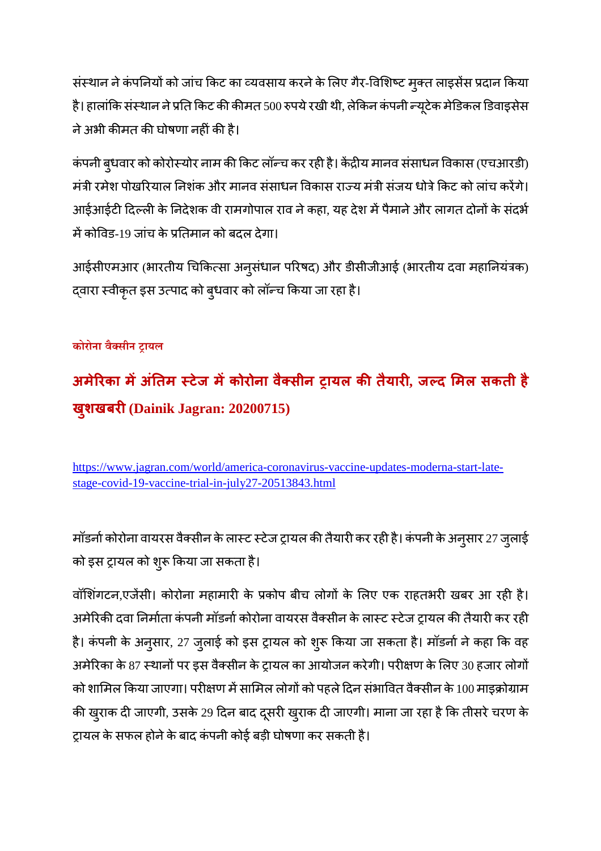संस्थान ने कंपनियों को जांच किट का व्यवसाय करने के लिए गैर-विशिष्ट मुक्त लाइसेंस प्रदान किया है। हालांकि संस्थान ने प्रति किट की कीमत 500 रुपये रखी थी, लेकिन कंपनी न्यूटेक मेडिकल डिवाइसेस ने अभी कीमत की घोषणा नहीं की है।

कंपनी बुधवार को कोरोस्योर नाम की किट लॉन्च कर रही है। केंद्रीय मानव संसाधन विकास (एचआरडी) मंत्री रमेश पोखरियाल निशंक और मानव संसाधन विकास राज्य मंत्री संजय धोत्रे किट को लांच करेंगे। आईआईटी दिल्ली के निदेशक वी रामगोपाल राव ने कहा, यह देश में पैमाने और लागत दोनों के संदर्भ में कोविड-19 जांच के प्रतिमान को बदल देगा।

आईसीएमआर (भारतीय चिकित्सा अनुसंधान परिषद) और डीसीजीआई (भारतीय दवा महानियंत्रक) दवारा स्वीकृत इस उत्पाद को बुधवार को लॉन्च किया जा रहा है।

#### **कोरोना वैसीन ायल**

## **अमेरका मअंतम टेज मकोरोना वै सीन ायल कतैयार, जद मल सकती है ख ु शखबर(Dainik Jagran: 20200715)**

https://www.jagran.com/world/america-coronavirus-vaccine-updates-moderna-start-latestage-covid-19-vaccine-trial-in-july27-20513843.html

मॉडर्ना कोरोना वायरस वैक्सीन के लास्ट स्टेज ट्रायल की तैयारी कर रही है। कंपनी के अनुसार 27 जुलाई को इस ट्रायल को शुरू किया जा सकता है।

वॉशिंगटन,एजेंसी। कोरोना महामारी के प्रकोप बीच लोगों के लिए एक राहतभरी खबर आ रही है। अमेरिकी दवा निर्माता कंपनी मॉडर्ना कोरोना वायरस वैक्सीन के लास्ट स्टेज ट्रायल की तैयारी कर रही है। कंपनी के अनुसार, 27 जुलाई को इस ट्रायल को शुरू किया जा सकता है। मॉडर्ना ने कहा कि वह अमेरिका के 87 स्थानों पर इस वैक्सीन के ट्रायल का आयोजन करेगी। परीक्षण के लिए 30 हजार लोगों को शामिल किया जाएगा। परीक्षण में सामिल लोगों को पहले दिन संभावित वैक्सीन के 100 माइक्रोग्राम की खुराक दी जाएगी, उसके 29 दिन बाद दूसरी खुराक दी जाएगी। माना जा रहा है कि तीसरे चरण के टायल के सफल होने के बाद कंपनी कोई बड़ी घोषणा कर सकती है।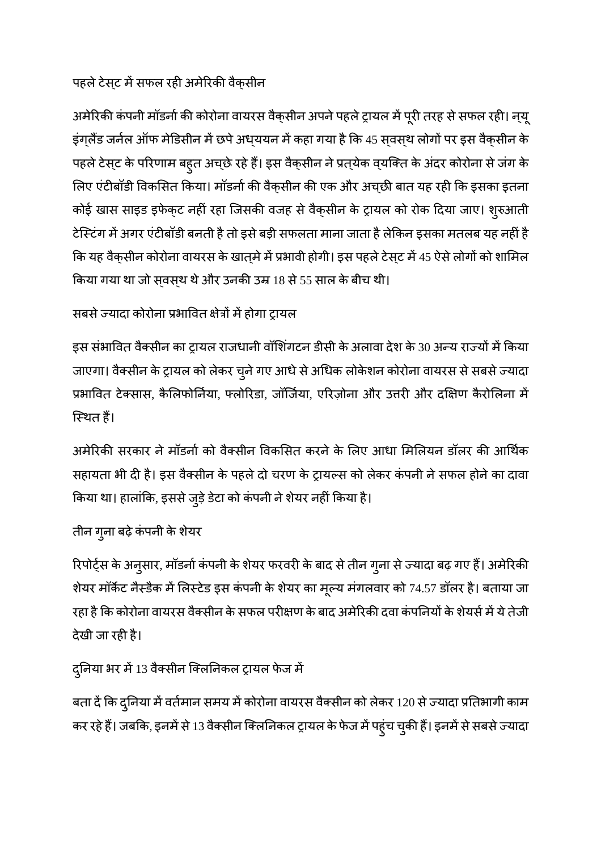#### पहले टेसट में सफल रही अमेरिकी वैकसीन

अमेरिकी कंपनी मॉडर्ना की कोरोना वायरस वैक्सीन अपने पहले ट्रायल में पूरी तरह से सफल रही। न्यू इंग्लैंड जर्नल ऑफ मेडिसीन में छपे अध्ययन में कहा गया है कि 45 सवस्थ लोगों पर इस वैक्सीन के पहले टेस्ट के परिणाम बह्त अच्छे रहे हैं। इस वैक्सीन ने प्रत्येक व्यक्ति के अंदर कोरोना से जंग के लिए एंटीबॉडी विकसित किया। मॉडर्ना की वैक्सीन की एक और अच्छी बात यह रही कि इसका इतना कोई खास साइड इफेक्ट नहीं रहा जिसकी वजह से वैक्सीन के ट्रायल को रोक दिया जाए। शुरुआती टेस्टिंग में अगर एंटीबॉडी बनती है तो इसे बड़ी सफलता माना जाता है लेकिन इसका मतलब यह नहीं है कि यह वैक्सीन कोरोना वायरस के खात्मे में प्रभावी होगी। इस पहले टेस्ट में 45 ऐसे लोगों को शामिल किया गया था जो सवस्थ थे और उनकी उम्र 18 से 55 साल के बीच थी।

#### सबसे ज्यादा कोरोना प्रभावित क्षेत्रों में होगा ट्रायल

इस संभावित वैक्सीन का ट्रायल राजधानी वॉशिंगटन डीसी के अलावा देश के 30 अन्य राज्यों में किया जाएगा। वैक्सीन के ट्रायल को लेकर चुने गए आधे से अधिक लोकेशन कोरोना वायरस से सबसे ज्यादा प्रभावित टेक्सास, कैलिफोर्निया, फ्लोरिडा, जॉर्जिया, एरिज़ोना और उत्तरी और दक्षिण कैरोलिना में िथत ह।

अमेरिकी सरकार ने मॉडर्ना को वैक्सीन विकसित करने के लिए आधा मिलियन डॉलर की आर्थिक सहायता भी दी है। इस वैक्सीन के पहले दो चरण के ट्रायल्स को लेकर कंपनी ने सफल होने का दावा किया था। हालांकि, इससे जुड़े डेटा को कंपनी ने शेयर नहीं किया है।

#### तीन गुना बढ़े कंपनी के शेयर

रिपोर्ट्स के अनुसार, मॉडर्ना कंपनी के शेयर फरवरी के बाद से तीन गुना से ज्यादा बढ़ गए हैं। अमेरिकी शेयर मॉर्केट नैस्डैक में लिस्टेड इस कंपनी के शेयर का मूल्य मंगलवार को 74.57 डॉलर है। बताया जा रहा है कि कोरोना वायरस वैक्सीन के सफल परीक्षण के बाद अमेरिकी दवा कंपनियों के शेयर्स में ये तेजी देखी जा रही है।

#### दुनिया भर में 13 वैक्सीन क्लिनिकल ट्रायल फेज में

बता दें कि दुनिया में वर्तमान समय में कोरोना वायरस वैक्सीन को लेकर 120 से ज्यादा प्रतिभागी काम कर रहे हैं। जबकि, इनमें से 13 वैक्सीन क्लिनिकल ट्रायल के फेज में पहुंच चुकी हैं। इनमें से सबसे ज्यादा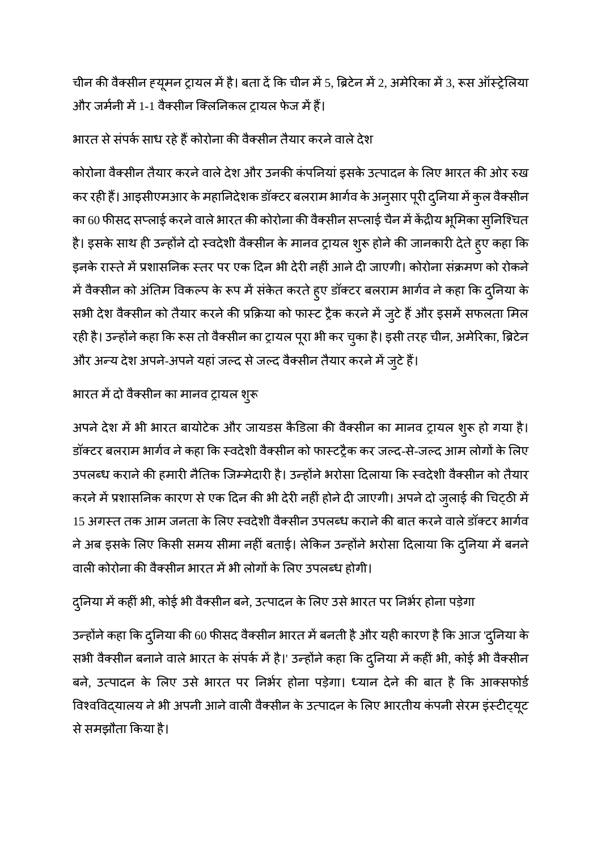चीन की वैक्सीन ह्यूमन ट्रायल में है। बता दें कि चीन में 5, ब्रिटेन में 2, अमेरिका में 3, रूस ऑस्ट्रेलिया और जर्मनी में 1-1 वैक्सीन क्लिनिकल टायल फेज में हैं।

#### भारत से संपर्क साध रहे हैं कोरोना की वैक्सीन तैयार करने वाले देश

कोरोना वैक्सीन तैयार करने वाले देश और उनकी कंपनियां इसके उत्पादन के लिए भारत की ओर रुख कर रही हैं। आइसीएमआर के महानिदेशक डॉक्टर बलराम भार्गव के अनुसार पूरी दुनिया में कुल वैक्सीन का 60 फीसद सप्लाई करने वाले भारत की कोरोना की वैक्सीन सप्लाई चैन में केंद्रीय भूमिका सुनिश्चित है। इसके साथ ही उन्होंने दो स्वदेशी वैक्सीन के मानव ट्रायल शुरू होने की जानकारी देते हुए कहा कि इनके रास्ते में प्रशासनिक स्तर पर एक दिन भी देरी नहीं आने दी जाएगी। कोरोना संक्रमण को रोकने में वैक्सीन को अंतिम विकल्प के रूप में संकेत करते हुए डॉक्टर बलराम भार्गव ने कहा कि दुनिया के सभी देश वैक्सीन को तैयार करने की प्रक्रिया को फास्ट ट्रैक करने में जुटे हैं और इसमें सफलता मिल रही है। उन्होंने कहा कि रूस तो वैक्सीन का ट्रायल पूरा भी कर चुका है। इसी तरह चीन, अमेरिका, ब्रिटेन और अन्य देश अपने-अपने यहां जल्द से जल्द वैक्सीन तैयार करने में जुटे हैं।

#### भारत में दो वैक्सीन का मानव ट्रायल शुरू

अपने देश में भी भारत बायोटेक और जायडस कैडिला की वैक्सीन का मानव ट्रायल शुरू हो गया है। डॉक्टर बलराम भार्गव ने कहा कि स्वदेशी वैक्सीन को फास्टट्रैक कर जल्द-से-जल्द आम लोगों के लिए उपलब्ध कराने की हमारी नैतिक जिम्मेदारी है। उन्होंने भरोसा दिलाया कि स्वदेशी वैक्सीन को तैयार करने में प्रशासनिक कारण से एक दिन की भी देरी नहीं होने दी जाएगी। अपने दो जुलाई की चिट्ठी में 15 अगस्त तक आम जनता के लिए स्वदेशी वैक्सीन उपलब्ध कराने की बात करने वाले डॉक्टर भार्गव ने अब इसके लिए किसी समय सीमा नहीं बताई। लेकिन उन्होंने भरोसा दिलाया कि दुनिया में बनने वाली कोरोना की वैक्सीन भारत में भी लोगों के लिए उपलब्ध होगी।

#### दुनिया में कहीं भी, कोई भी वैक्सीन बने, उत्पादन के लिए उसे भारत पर निर्भर होना पड़ेगा

उन्होंने कहा कि दुनिया की 60 फीसद वैक्सीन भारत में बनती है और यही कारण है कि आज 'दुनिया के सभी वैक्सीन बनाने वाले भारत के संपर्क में है।' उन्होंने कहा कि दुनिया में कहीं भी, कोई भी वैक्सीन बने, उत्पादन के लिए उसे भारत पर निर्भर होना पड़ेगा। ध्यान देने की बात है कि आक्सफोर्ड विश्वविद्यालय ने भी अपनी आने वाली वैक्सीन के उत्पादन के लिए भारतीय कंपनी सेरम इंस्टीट्यूट सेसमझौता कया है।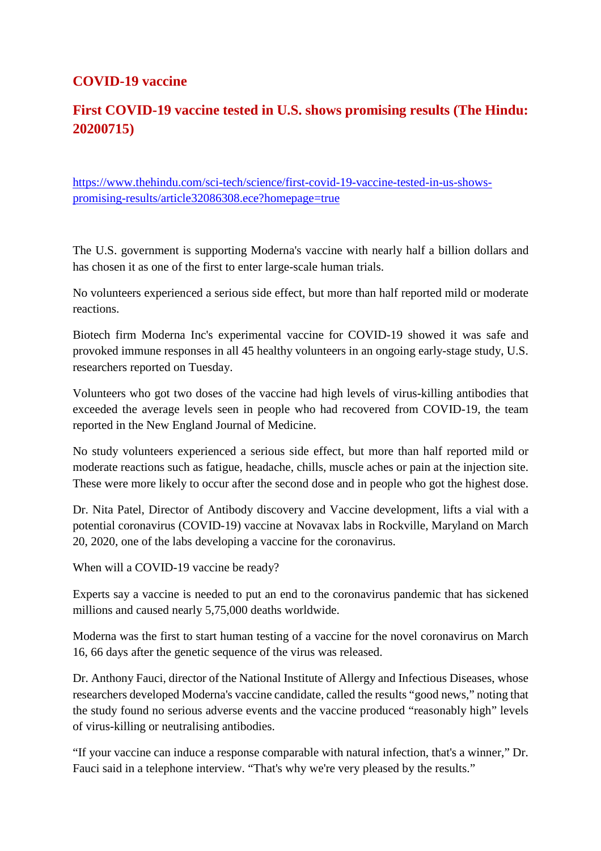#### **COVID-19 vaccine**

#### **First COVID-19 vaccine tested in U.S. shows promising results (The Hindu: 20200715)**

https://www.thehindu.com/sci-tech/science/first-covid-19-vaccine-tested-in-us-showspromising-results/article32086308.ece?homepage=true

The U.S. government is supporting Moderna's vaccine with nearly half a billion dollars and has chosen it as one of the first to enter large-scale human trials.

No volunteers experienced a serious side effect, but more than half reported mild or moderate reactions.

Biotech firm Moderna Inc's experimental vaccine for COVID-19 showed it was safe and provoked immune responses in all 45 healthy volunteers in an ongoing early-stage study, U.S. researchers reported on Tuesday.

Volunteers who got two doses of the vaccine had high levels of virus-killing antibodies that exceeded the average levels seen in people who had recovered from COVID-19, the team reported in the New England Journal of Medicine.

No study volunteers experienced a serious side effect, but more than half reported mild or moderate reactions such as fatigue, headache, chills, muscle aches or pain at the injection site. These were more likely to occur after the second dose and in people who got the highest dose.

Dr. Nita Patel, Director of Antibody discovery and Vaccine development, lifts a vial with a potential coronavirus (COVID-19) vaccine at Novavax labs in Rockville, Maryland on March 20, 2020, one of the labs developing a vaccine for the coronavirus.

When will a COVID-19 vaccine be ready?

Experts say a vaccine is needed to put an end to the coronavirus pandemic that has sickened millions and caused nearly 5,75,000 deaths worldwide.

Moderna was the first to start human testing of a vaccine for the novel coronavirus on March 16, 66 days after the genetic sequence of the virus was released.

Dr. Anthony Fauci, director of the National Institute of Allergy and Infectious Diseases, whose researchers developed Moderna's vaccine candidate, called the results "good news," noting that the study found no serious adverse events and the vaccine produced "reasonably high" levels of virus-killing or neutralising antibodies.

"If your vaccine can induce a response comparable with natural infection, that's a winner," Dr. Fauci said in a telephone interview. "That's why we're very pleased by the results."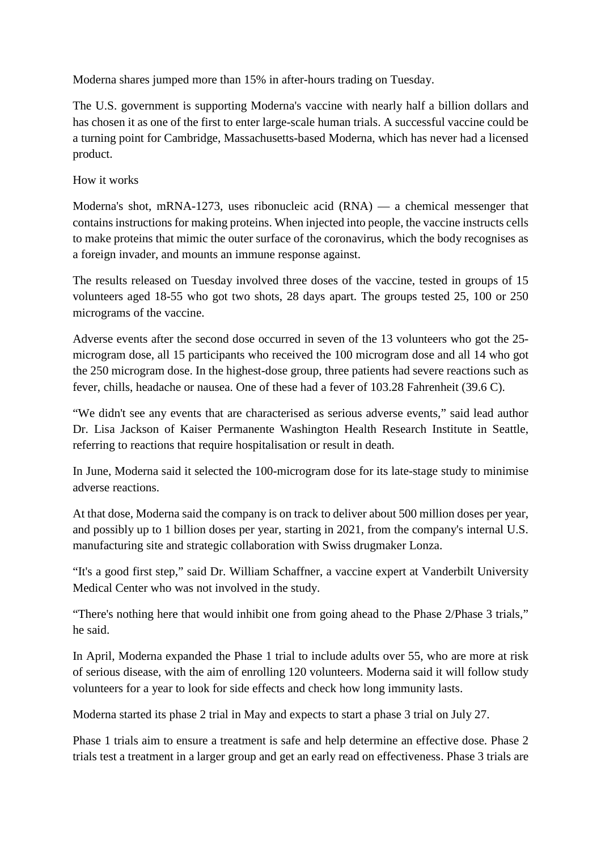Moderna shares jumped more than 15% in after-hours trading on Tuesday.

The U.S. government is supporting Moderna's vaccine with nearly half a billion dollars and has chosen it as one of the first to enter large-scale human trials. A successful vaccine could be a turning point for Cambridge, Massachusetts-based Moderna, which has never had a licensed product.

How it works

Moderna's shot, mRNA-1273, uses ribonucleic acid (RNA) — a chemical messenger that contains instructions for making proteins. When injected into people, the vaccine instructs cells to make proteins that mimic the outer surface of the coronavirus, which the body recognises as a foreign invader, and mounts an immune response against.

The results released on Tuesday involved three doses of the vaccine, tested in groups of 15 volunteers aged 18-55 who got two shots, 28 days apart. The groups tested 25, 100 or 250 micrograms of the vaccine.

Adverse events after the second dose occurred in seven of the 13 volunteers who got the 25 microgram dose, all 15 participants who received the 100 microgram dose and all 14 who got the 250 microgram dose. In the highest-dose group, three patients had severe reactions such as fever, chills, headache or nausea. One of these had a fever of 103.28 Fahrenheit (39.6 C).

"We didn't see any events that are characterised as serious adverse events," said lead author Dr. Lisa Jackson of Kaiser Permanente Washington Health Research Institute in Seattle, referring to reactions that require hospitalisation or result in death.

In June, Moderna said it selected the 100-microgram dose for its late-stage study to minimise adverse reactions.

At that dose, Moderna said the company is on track to deliver about 500 million doses per year, and possibly up to 1 billion doses per year, starting in 2021, from the company's internal U.S. manufacturing site and strategic collaboration with Swiss drugmaker Lonza.

"It's a good first step," said Dr. William Schaffner, a vaccine expert at Vanderbilt University Medical Center who was not involved in the study.

"There's nothing here that would inhibit one from going ahead to the Phase 2/Phase 3 trials," he said.

In April, Moderna expanded the Phase 1 trial to include adults over 55, who are more at risk of serious disease, with the aim of enrolling 120 volunteers. Moderna said it will follow study volunteers for a year to look for side effects and check how long immunity lasts.

Moderna started its phase 2 trial in May and expects to start a phase 3 trial on July 27.

Phase 1 trials aim to ensure a treatment is safe and help determine an effective dose. Phase 2 trials test a treatment in a larger group and get an early read on effectiveness. Phase 3 trials are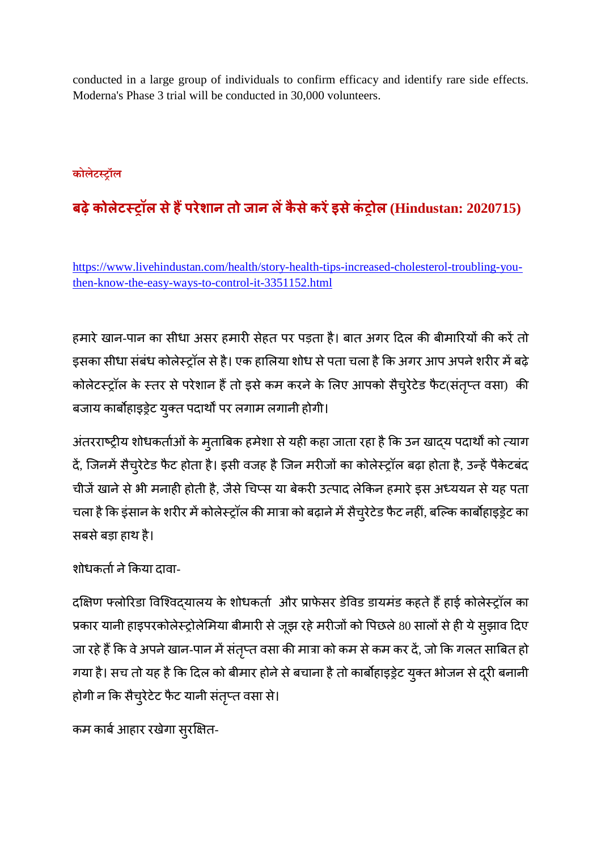conducted in a large group of individuals to confirm efficacy and identify rare side effects. Moderna's Phase 3 trial will be conducted in 30,000 volunteers.

#### **कोलेटॉल**

## **बढ़ेकोलेटॉल सेहपरेशान तो जान लकैसेकरइसेकंोल (Hindustan: 2020715)**

https://www.livehindustan.com/health/story-health-tips-increased-cholesterol-troubling-youthen-know-the-easy-ways-to-control-it-3351152.html

हमारे खान-पान का सीधा असर हमारी सेहत पर पड़ता है। बात अगर दिल की बीमारियों की करें तो इसका सीधा संबंध कोलेस्ट्रॉल से है। एक हालिया शोध से पता चला है कि अगर आप अपने शरीर में बढ़े कोलेटर्स्ट्रॉल के स्तर से परेशान हैं तो इसे कम करने के लिए आपको सैच्रेटेड फैट(संतृप्त वसा) की बजाय कार्बोहाइड्रेट युक्त पदार्थों पर लगाम लगानी होगी।

अंतरराष्ट्रीय शोधकर्ताओं के मुताबिक हमेशा से यही कहा जाता रहा है कि उन खाद्य पदार्थों को त्याग दें, जिनमें सैच्�रेटेड फैट होता है। इसी वजह है जिन मरीजों का कोलेस्ट्रॉल बढ़ा होता है, उन्हें पैकेटबंद चीजें खाने से भी मनाही होती है, जैसे चिप्स या बेकरी उत्पाद लेकिन हमारे इस अध्ययन से यह पता चला है कि इंसान के शरीर में कोलेस्ट्रॉल की मात्रा को बढ़ाने में सैच्रेटेड फैट नहीं, बल्कि कार्बोहाइड्रेट का सबसेबड़ा हाथ है।

शोधकर्ता ने किया दावा-

दक्षिण फ्लोरिडा विश्विदयालय के शोधकर्ता और प्राफेसर डेविड डायमंड कहते हैं हाई कोलेस्ट्रॉल का प्रकार यानी हाइपरकोलेस्ट्रोलेमिया बीमारी से जूझ रहे मरीजों को पिछले 80 सालों से ही ये सूझाव दिए जा रहे हैं कि वे अपने खान-पान में संतृप्त वसा की मात्रा को कम से कम कर दें, जो कि गलत साबित हो गया है। सच तो यह है कि दिल को बीमार होने से बचाना है तो कार्बोहाइड्रेट युक्त भोजन से दूरी बनानी होगी न कि सैच्रेटेट फैट यानी संतृप्त वसा से।

कम कार्ब आहार रखेगा सुरक्षित-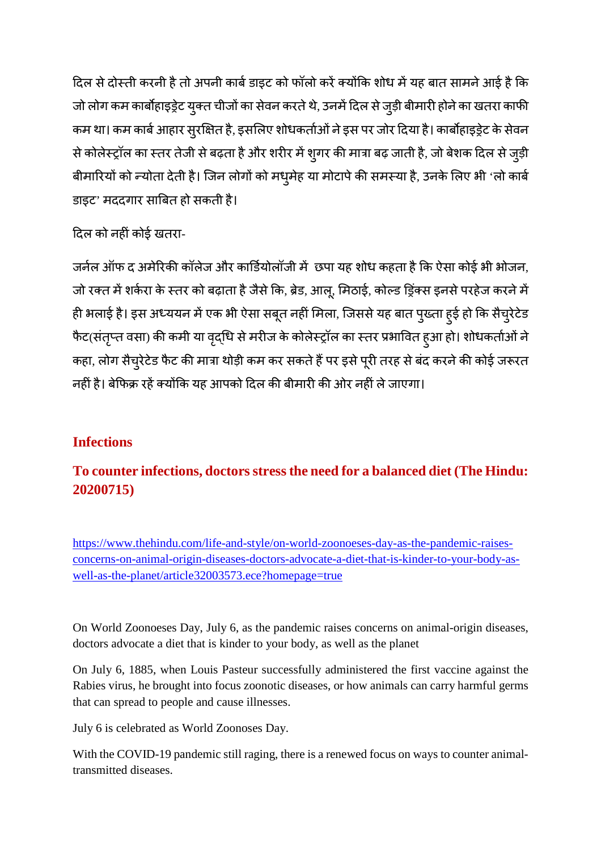दिल से दोस्ती करनी है तो अपनी कार्ब डाइट को फॉलो करें क्योंकि शोध में यह बात सामने आई है कि जो लोग कम कार्बोहाइड्रेट युक्त चीजों का सेवन करते थे, उनमें दिल से जुड़ी बीमारी होने का खतरा काफी कम था। कम कार्ब आहार सुरक्षित है, इसलिए शोधकर्ताओं ने इस पर जोर दिया है। कार्बोहाइड्रेट के सेवन से कोलेस्ट्रॉल का स्तर तेजी से बढ़ता है और शरीर में शुगर की मात्रा बढ़ जाती है, जो बेशक दिल से जुड़ी बीमारियों को न्योता देती है। जिन लोगों को मधुमेह या मोटापे की समस्या है, उनके लिए भी 'लो कार्ब डाइट' मददगार साबत हो सकती है।

दिल को नहीं कोई खतरा-

जर्नल ऑफ द अमेरिकी कॉलेज और कार्डियोलॉजी में छपा यह शोध कहता है कि ऐसा कोई भी भोजन, जो रक्त में शर्करा के स्तर को बढ़ाता है जैसे कि, ब्रेड, आलू, मिठाई, कोल्ड ड्रिंक्स इनसे परहेज करने में ही भलाई है। इस अध्ययन में एक भी ऐसा सबूत नहीं मिला, जिससे यह बात पुख्ता हुई हो कि सैचुरेटेड फैट(संतृप्त वसा) की कमी या वृद्धि से मरीज के कोलेस्ट्रॉल का स्तर प्रभावित हुआ हो। शोधकर्ताओं ने कहा, लोग सैच्रेटेड फैट की मात्रा थोड़ी कम कर सकते हैं पर इसे पूरी तरह से बंद करने की कोई जरूरत नहीं है। बेफिक्र रहें क्योंकि यह आपको दिल की बीमारी की ओर नहीं ले जाएगा।

#### **Infections**

#### **To counter infections, doctors stress the need for a balanced diet (The Hindu: 20200715)**

https://www.thehindu.com/life-and-style/on-world-zoonoeses-day-as-the-pandemic-raisesconcerns-on-animal-origin-diseases-doctors-advocate-a-diet-that-is-kinder-to-your-body-aswell-as-the-planet/article32003573.ece?homepage=true

On World Zoonoeses Day, July 6, as the pandemic raises concerns on animal-origin diseases, doctors advocate a diet that is kinder to your body, as well as the planet

On July 6, 1885, when Louis Pasteur successfully administered the first vaccine against the Rabies virus, he brought into focus zoonotic diseases, or how animals can carry harmful germs that can spread to people and cause illnesses.

July 6 is celebrated as World Zoonoses Day.

With the COVID-19 pandemic still raging, there is a renewed focus on ways to counter animaltransmitted diseases.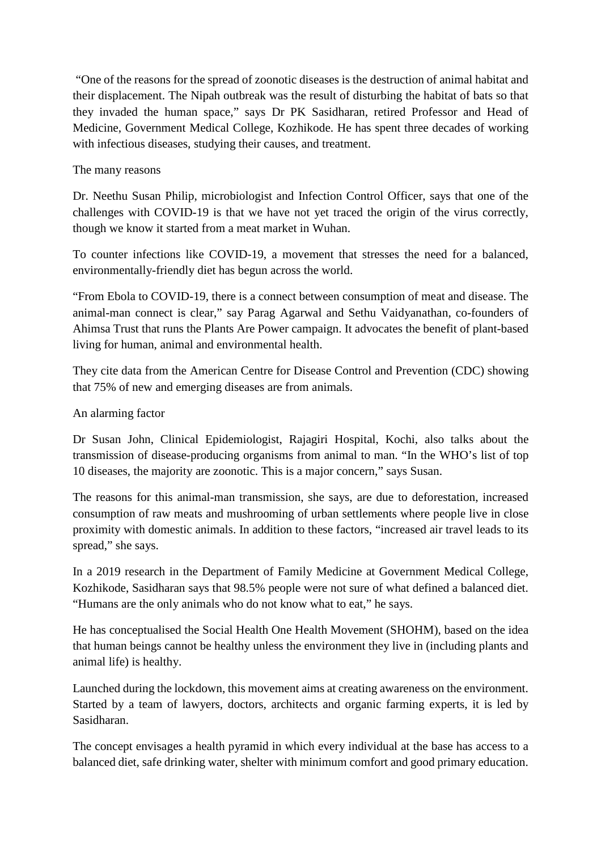"One of the reasons for the spread of zoonotic diseases is the destruction of animal habitat and their displacement. The Nipah outbreak was the result of disturbing the habitat of bats so that they invaded the human space," says Dr PK Sasidharan, retired Professor and Head of Medicine, Government Medical College, Kozhikode. He has spent three decades of working with infectious diseases, studying their causes, and treatment.

#### The many reasons

Dr. Neethu Susan Philip, microbiologist and Infection Control Officer, says that one of the challenges with COVID-19 is that we have not yet traced the origin of the virus correctly, though we know it started from a meat market in Wuhan.

To counter infections like COVID-19, a movement that stresses the need for a balanced, environmentally-friendly diet has begun across the world.

"From Ebola to COVID-19, there is a connect between consumption of meat and disease. The animal-man connect is clear," say Parag Agarwal and Sethu Vaidyanathan, co-founders of Ahimsa Trust that runs the Plants Are Power campaign. It advocates the benefit of plant-based living for human, animal and environmental health.

They cite data from the American Centre for Disease Control and Prevention (CDC) showing that 75% of new and emerging diseases are from animals.

#### An alarming factor

Dr Susan John, Clinical Epidemiologist, Rajagiri Hospital, Kochi, also talks about the transmission of disease-producing organisms from animal to man. "In the WHO's list of top 10 diseases, the majority are zoonotic. This is a major concern," says Susan.

The reasons for this animal-man transmission, she says, are due to deforestation, increased consumption of raw meats and mushrooming of urban settlements where people live in close proximity with domestic animals. In addition to these factors, "increased air travel leads to its spread," she says.

In a 2019 research in the Department of Family Medicine at Government Medical College, Kozhikode, Sasidharan says that 98.5% people were not sure of what defined a balanced diet. "Humans are the only animals who do not know what to eat," he says.

He has conceptualised the Social Health One Health Movement (SHOHM), based on the idea that human beings cannot be healthy unless the environment they live in (including plants and animal life) is healthy.

Launched during the lockdown, this movement aims at creating awareness on the environment. Started by a team of lawyers, doctors, architects and organic farming experts, it is led by Sasidharan.

The concept envisages a health pyramid in which every individual at the base has access to a balanced diet, safe drinking water, shelter with minimum comfort and good primary education.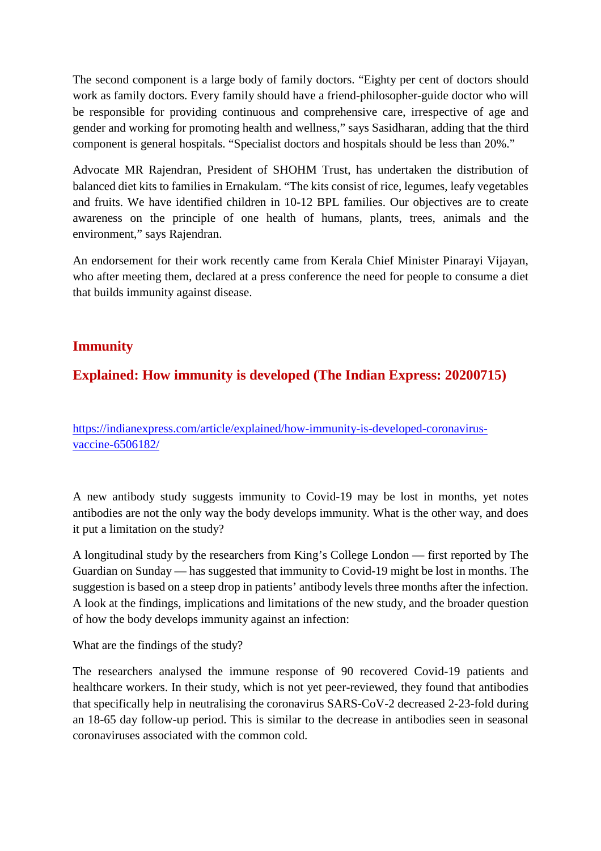The second component is a large body of family doctors. "Eighty per cent of doctors should work as family doctors. Every family should have a friend-philosopher-guide doctor who will be responsible for providing continuous and comprehensive care, irrespective of age and gender and working for promoting health and wellness," says Sasidharan, adding that the third component is general hospitals. "Specialist doctors and hospitals should be less than 20%."

Advocate MR Rajendran, President of SHOHM Trust, has undertaken the distribution of balanced diet kits to families in Ernakulam. "The kits consist of rice, legumes, leafy vegetables and fruits. We have identified children in 10-12 BPL families. Our objectives are to create awareness on the principle of one health of humans, plants, trees, animals and the environment," says Rajendran.

An endorsement for their work recently came from Kerala Chief Minister Pinarayi Vijayan, who after meeting them, declared at a press conference the need for people to consume a diet that builds immunity against disease.

#### **Immunity**

#### **Explained: How immunity is developed (The Indian Express: 20200715)**

https://indianexpress.com/article/explained/how-immunity-is-developed-coronavirusvaccine-6506182/

A new antibody study suggests immunity to Covid-19 may be lost in months, yet notes antibodies are not the only way the body develops immunity. What is the other way, and does it put a limitation on the study?

A longitudinal study by the researchers from King's College London — first reported by The Guardian on Sunday — has suggested that immunity to Covid-19 might be lost in months. The suggestion is based on a steep drop in patients' antibody levels three months after the infection. A look at the findings, implications and limitations of the new study, and the broader question of how the body develops immunity against an infection:

What are the findings of the study?

The researchers analysed the immune response of 90 recovered Covid-19 patients and healthcare workers. In their study, which is not yet peer-reviewed, they found that antibodies that specifically help in neutralising the coronavirus SARS-CoV-2 decreased 2-23-fold during an 18-65 day follow-up period. This is similar to the decrease in antibodies seen in seasonal coronaviruses associated with the common cold.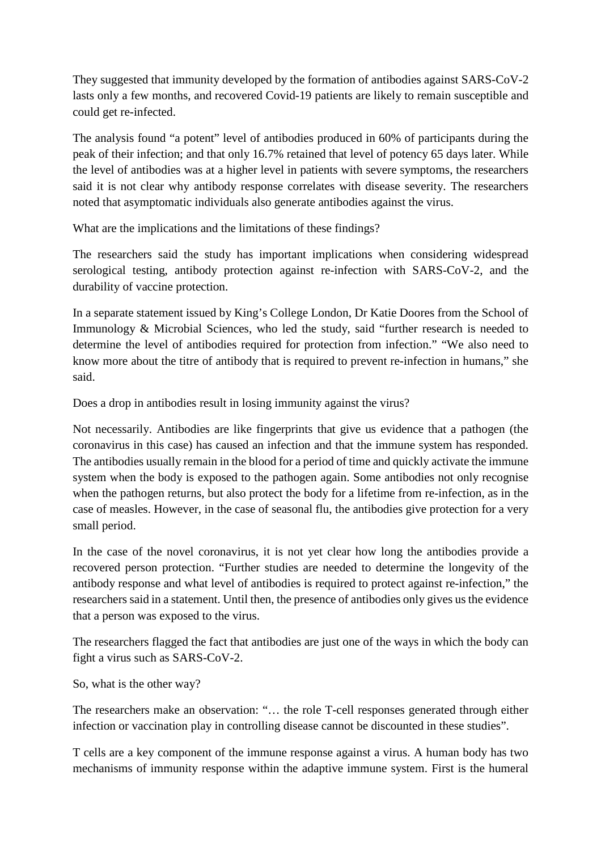They suggested that immunity developed by the formation of antibodies against SARS-CoV-2 lasts only a few months, and recovered Covid-19 patients are likely to remain susceptible and could get re-infected.

The analysis found "a potent" level of antibodies produced in 60% of participants during the peak of their infection; and that only 16.7% retained that level of potency 65 days later. While the level of antibodies was at a higher level in patients with severe symptoms, the researchers said it is not clear why antibody response correlates with disease severity. The researchers noted that asymptomatic individuals also generate antibodies against the virus.

What are the implications and the limitations of these findings?

The researchers said the study has important implications when considering widespread serological testing, antibody protection against re-infection with SARS-CoV-2, and the durability of vaccine protection.

In a separate statement issued by King's College London, Dr Katie Doores from the School of Immunology & Microbial Sciences, who led the study, said "further research is needed to determine the level of antibodies required for protection from infection." "We also need to know more about the titre of antibody that is required to prevent re-infection in humans," she said.

Does a drop in antibodies result in losing immunity against the virus?

Not necessarily. Antibodies are like fingerprints that give us evidence that a pathogen (the coronavirus in this case) has caused an infection and that the immune system has responded. The antibodies usually remain in the blood for a period of time and quickly activate the immune system when the body is exposed to the pathogen again. Some antibodies not only recognise when the pathogen returns, but also protect the body for a lifetime from re-infection, as in the case of measles. However, in the case of seasonal flu, the antibodies give protection for a very small period.

In the case of the novel coronavirus, it is not yet clear how long the antibodies provide a recovered person protection. "Further studies are needed to determine the longevity of the antibody response and what level of antibodies is required to protect against re-infection," the researchers said in a statement. Until then, the presence of antibodies only gives us the evidence that a person was exposed to the virus.

The researchers flagged the fact that antibodies are just one of the ways in which the body can fight a virus such as SARS-CoV-2.

So, what is the other way?

The researchers make an observation: "… the role T-cell responses generated through either infection or vaccination play in controlling disease cannot be discounted in these studies".

T cells are a key component of the immune response against a virus. A human body has two mechanisms of immunity response within the adaptive immune system. First is the humeral